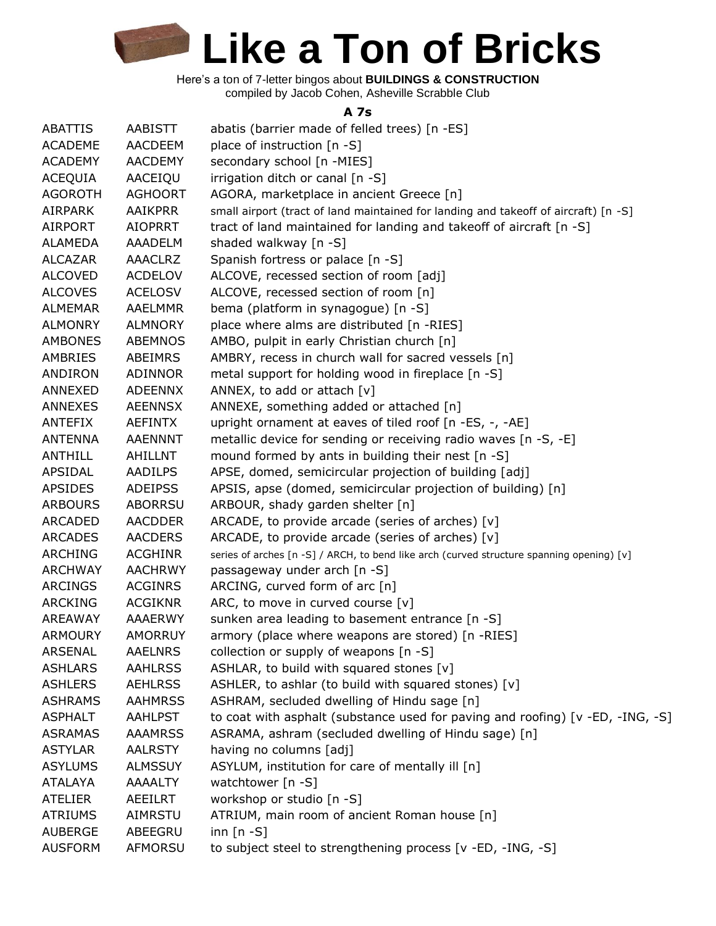Here's a ton of 7-letter bingos about **BUILDINGS & CONSTRUCTION** compiled by Jacob Cohen, Asheville Scrabble Club

#### **A 7s**

| <b>ABATTIS</b> | AABISTT        | abatis (barrier made of felled trees) [n -ES]                                             |
|----------------|----------------|-------------------------------------------------------------------------------------------|
| <b>ACADEME</b> | <b>AACDEEM</b> | place of instruction $[n - S]$                                                            |
| <b>ACADEMY</b> | <b>AACDEMY</b> | secondary school [n -MIES]                                                                |
| ACEQUIA        | AACEIQU        | irrigation ditch or canal [n -S]                                                          |
| <b>AGOROTH</b> | <b>AGHOORT</b> | AGORA, marketplace in ancient Greece [n]                                                  |
| <b>AIRPARK</b> | <b>AAIKPRR</b> | small airport (tract of land maintained for landing and takeoff of aircraft) [n -S]       |
| <b>AIRPORT</b> | <b>AIOPRRT</b> | tract of land maintained for landing and takeoff of aircraft [n -S]                       |
| <b>ALAMEDA</b> | AAADELM        | shaded walkway [n -S]                                                                     |
| <b>ALCAZAR</b> | <b>AAACLRZ</b> | Spanish fortress or palace [n -S]                                                         |
| <b>ALCOVED</b> | <b>ACDELOV</b> | ALCOVE, recessed section of room [adj]                                                    |
| <b>ALCOVES</b> | <b>ACELOSV</b> | ALCOVE, recessed section of room [n]                                                      |
| <b>ALMEMAR</b> | <b>AAELMMR</b> | bema (platform in synagogue) [n -S]                                                       |
| <b>ALMONRY</b> | <b>ALMNORY</b> | place where alms are distributed [n -RIES]                                                |
| <b>AMBONES</b> | <b>ABEMNOS</b> | AMBO, pulpit in early Christian church [n]                                                |
| AMBRIES        | ABEIMRS        | AMBRY, recess in church wall for sacred vessels [n]                                       |
| ANDIRON        | ADINNOR        | metal support for holding wood in fireplace [n -S]                                        |
| ANNEXED        | <b>ADEENNX</b> | ANNEX, to add or attach [v]                                                               |
| ANNEXES        | <b>AEENNSX</b> | ANNEXE, something added or attached [n]                                                   |
| ANTEFIX        | <b>AEFINTX</b> | upright ornament at eaves of tiled roof [n -ES, -, -AE]                                   |
| <b>ANTENNA</b> | <b>AAENNNT</b> | metallic device for sending or receiving radio waves [n -S, -E]                           |
| <b>ANTHILL</b> | AHILLNT        | mound formed by ants in building their nest [n -S]                                        |
| APSIDAL        | <b>AADILPS</b> | APSE, domed, semicircular projection of building [adj]                                    |
| <b>APSIDES</b> | <b>ADEIPSS</b> | APSIS, apse (domed, semicircular projection of building) [n]                              |
| <b>ARBOURS</b> | <b>ABORRSU</b> | ARBOUR, shady garden shelter [n]                                                          |
| ARCADED        | AACDDER        | ARCADE, to provide arcade (series of arches) $[v]$                                        |
| <b>ARCADES</b> | <b>AACDERS</b> | ARCADE, to provide arcade (series of arches) [v]                                          |
| <b>ARCHING</b> | <b>ACGHINR</b> | series of arches [n -S] / ARCH, to bend like arch (curved structure spanning opening) [v] |
| <b>ARCHWAY</b> | <b>AACHRWY</b> | passageway under arch [n -S]                                                              |
| ARCINGS        | <b>ACGINRS</b> | ARCING, curved form of arc [n]                                                            |
| <b>ARCKING</b> | <b>ACGIKNR</b> | ARC, to move in curved course [v]                                                         |
| <b>AREAWAY</b> | <b>AAAERWY</b> | sunken area leading to basement entrance [n -S]                                           |
| <b>ARMOURY</b> | <b>AMORRUY</b> | armory (place where weapons are stored) [n -RIES]                                         |
| ARSENAL        | <b>AAELNRS</b> | collection or supply of weapons [n -S]                                                    |
| <b>ASHLARS</b> | <b>AAHLRSS</b> | ASHLAR, to build with squared stones [v]                                                  |
| <b>ASHLERS</b> | <b>AEHLRSS</b> | ASHLER, to ashlar (to build with squared stones) [v]                                      |
| <b>ASHRAMS</b> | <b>AAHMRSS</b> | ASHRAM, secluded dwelling of Hindu sage [n]                                               |
| <b>ASPHALT</b> | <b>AAHLPST</b> | to coat with asphalt (substance used for paving and roofing) [v -ED, -ING, -S]            |
| <b>ASRAMAS</b> | <b>AAAMRSS</b> | ASRAMA, ashram (secluded dwelling of Hindu sage) [n]                                      |
| <b>ASTYLAR</b> | <b>AALRSTY</b> | having no columns [adj]                                                                   |
| <b>ASYLUMS</b> | <b>ALMSSUY</b> | ASYLUM, institution for care of mentally ill [n]                                          |
| <b>ATALAYA</b> | <b>AAAALTY</b> | watchtower [n -S]                                                                         |
| <b>ATELIER</b> | AEEILRT        | workshop or studio [n -S]                                                                 |
| <b>ATRIUMS</b> | AIMRSTU        | ATRIUM, main room of ancient Roman house [n]                                              |
| <b>AUBERGE</b> | ABEEGRU        | inn $[n - S]$                                                                             |
| <b>AUSFORM</b> | AFMORSU        | to subject steel to strengthening process [v -ED, -ING, -S]                               |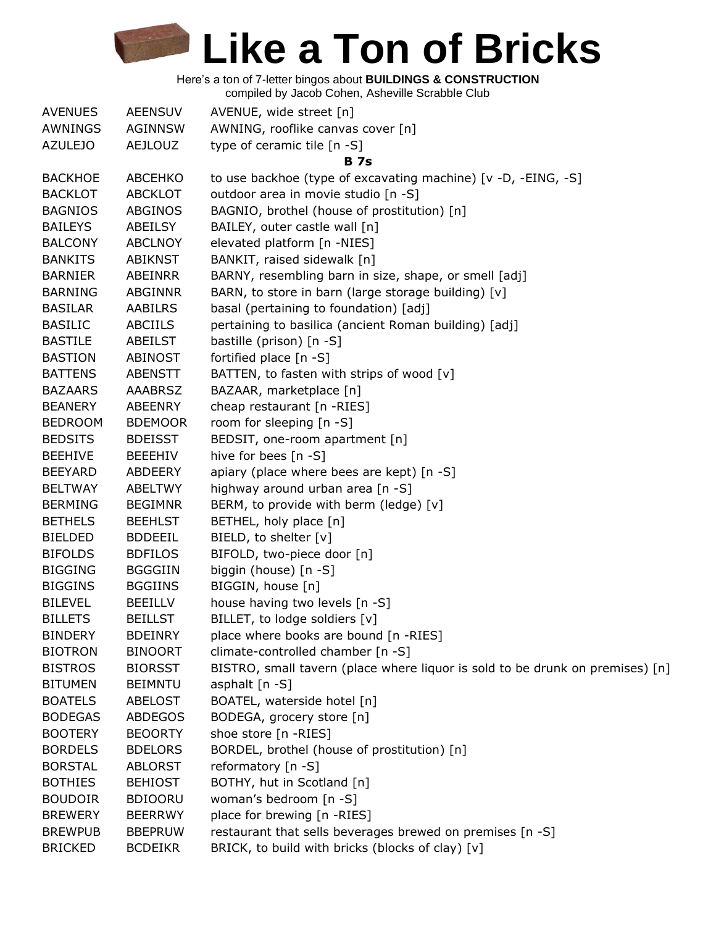Here's a ton of 7-letter bingos about **BUILDINGS & CONSTRUCTION**

compiled by Jacob Cohen, Asheville Scrabble Club

| <b>AVENUES</b> | <b>AEENSUV</b> | AVENUE, wide street [n]                                                       |
|----------------|----------------|-------------------------------------------------------------------------------|
| AWNINGS        | <b>AGINNSW</b> | AWNING, rooflike canvas cover [n]                                             |
| <b>AZULEJO</b> | <b>AEJLOUZ</b> | type of ceramic tile [n -S]                                                   |
|                |                | <b>B</b> 7s                                                                   |
| <b>BACKHOE</b> | ABCEHKO        | to use backhoe (type of excavating machine) [v -D, -EING, -S]                 |
| <b>BACKLOT</b> | <b>ABCKLOT</b> | outdoor area in movie studio [n -S]                                           |
| <b>BAGNIOS</b> | ABGINOS        | BAGNIO, brothel (house of prostitution) [n]                                   |
| <b>BAILEYS</b> | ABEILSY        | BAILEY, outer castle wall [n]                                                 |
| <b>BALCONY</b> | <b>ABCLNOY</b> | elevated platform [n -NIES]                                                   |
| <b>BANKITS</b> | ABIKNST        | BANKIT, raised sidewalk [n]                                                   |
| <b>BARNIER</b> | ABEINRR        | BARNY, resembling barn in size, shape, or smell [adj]                         |
| <b>BARNING</b> | <b>ABGINNR</b> | BARN, to store in barn (large storage building) [v]                           |
| <b>BASILAR</b> | AABILRS        | basal (pertaining to foundation) [adj]                                        |
| <b>BASILIC</b> | ABCIILS        | pertaining to basilica (ancient Roman building) [adj]                         |
| <b>BASTILE</b> | ABEILST        | bastille (prison) [n -S]                                                      |
| <b>BASTION</b> | <b>ABINOST</b> | fortified place [n -S]                                                        |
| <b>BATTENS</b> | ABENSTT        | BATTEN, to fasten with strips of wood [v]                                     |
| <b>BAZAARS</b> | <b>AAABRSZ</b> | BAZAAR, marketplace [n]                                                       |
| <b>BEANERY</b> | <b>ABEENRY</b> | cheap restaurant [n -RIES]                                                    |
| <b>BEDROOM</b> | <b>BDEMOOR</b> | room for sleeping [n -S]                                                      |
| <b>BEDSITS</b> | <b>BDEISST</b> | BEDSIT, one-room apartment [n]                                                |
| <b>BEEHIVE</b> | <b>BEEEHIV</b> | hive for bees [n -S]                                                          |
| <b>BEEYARD</b> | ABDEERY        | apiary (place where bees are kept) [n -S]                                     |
| <b>BELTWAY</b> | <b>ABELTWY</b> | highway around urban area [n -S]                                              |
| <b>BERMING</b> | <b>BEGIMNR</b> | BERM, to provide with berm (ledge) [v]                                        |
| <b>BETHELS</b> | <b>BEEHLST</b> | BETHEL, holy place [n]                                                        |
| <b>BIELDED</b> | <b>BDDEEIL</b> | BIELD, to shelter [v]                                                         |
| <b>BIFOLDS</b> | <b>BDFILOS</b> | BIFOLD, two-piece door [n]                                                    |
| <b>BIGGING</b> | <b>BGGGIIN</b> | biggin (house) [n -S]                                                         |
| <b>BIGGINS</b> | <b>BGGIINS</b> | BIGGIN, house [n]                                                             |
| <b>BILEVEL</b> | BEEILLV        | house having two levels [n -S]                                                |
| <b>BILLETS</b> | <b>BEILLST</b> | BILLET, to lodge soldiers [v]                                                 |
| <b>BINDERY</b> | <b>BDEINRY</b> | place where books are bound [n -RIES]                                         |
| <b>BIOTRON</b> | <b>BINOORT</b> | climate-controlled chamber [n -S]                                             |
| <b>BISTROS</b> | <b>BIORSST</b> | BISTRO, small tavern (place where liquor is sold to be drunk on premises) [n] |
| <b>BITUMEN</b> | <b>BEIMNTU</b> | asphalt [n -S]                                                                |
| <b>BOATELS</b> | <b>ABELOST</b> | BOATEL, waterside hotel [n]                                                   |
| <b>BODEGAS</b> | <b>ABDEGOS</b> | BODEGA, grocery store [n]                                                     |
| <b>BOOTERY</b> | <b>BEOORTY</b> | shoe store [n -RIES]                                                          |
| <b>BORDELS</b> | <b>BDELORS</b> | BORDEL, brothel (house of prostitution) [n]                                   |
| <b>BORSTAL</b> | <b>ABLORST</b> | reformatory [n -S]                                                            |
| <b>BOTHIES</b> | <b>BEHIOST</b> | BOTHY, hut in Scotland [n]                                                    |
| <b>BOUDOIR</b> | <b>BDIOORU</b> | woman's bedroom [n -S]                                                        |
| <b>BREWERY</b> | <b>BEERRWY</b> | place for brewing [n -RIES]                                                   |
| <b>BREWPUB</b> | <b>BBEPRUW</b> | restaurant that sells beverages brewed on premises [n -S]                     |
| <b>BRICKED</b> | <b>BCDEIKR</b> | BRICK, to build with bricks (blocks of clay) [v]                              |
|                |                |                                                                               |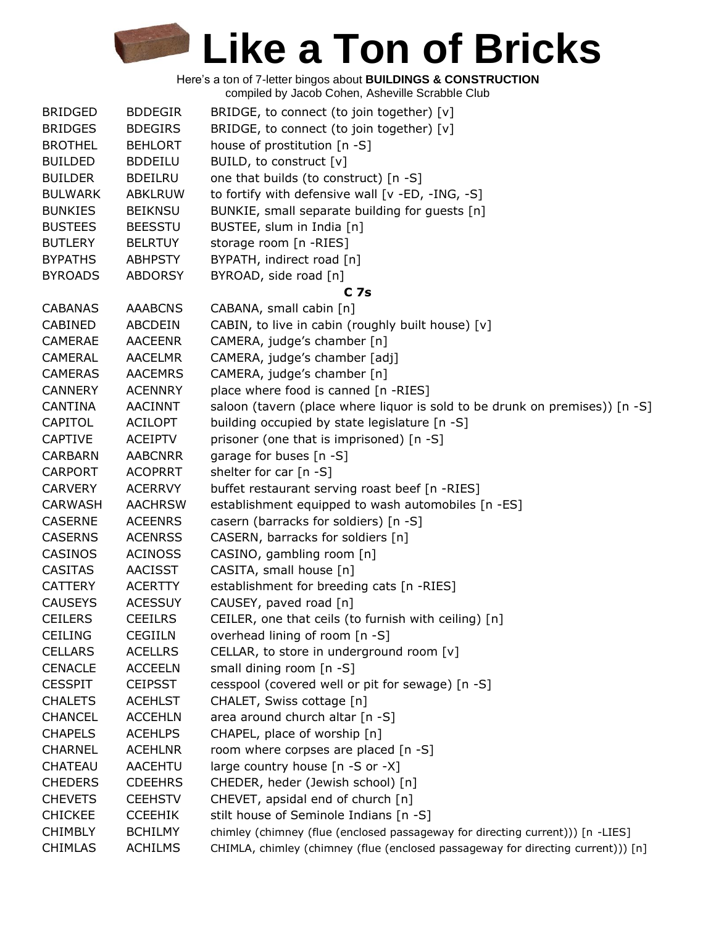Here's a ton of 7-letter bingos about **BUILDINGS & CONSTRUCTION** compiled by Jacob Cohen, Asheville Scrabble Club

| <b>BRIDGED</b> | <b>BDDEGIR</b> | BRIDGE, to connect (to join together) [v]                                        |
|----------------|----------------|----------------------------------------------------------------------------------|
| <b>BRIDGES</b> | <b>BDEGIRS</b> | BRIDGE, to connect (to join together) [v]                                        |
| <b>BROTHEL</b> | <b>BEHLORT</b> | house of prostitution [n -S]                                                     |
| <b>BUILDED</b> | <b>BDDEILU</b> | BUILD, to construct [v]                                                          |
| <b>BUILDER</b> | <b>BDEILRU</b> | one that builds (to construct) [n -S]                                            |
| <b>BULWARK</b> | <b>ABKLRUW</b> | to fortify with defensive wall [v -ED, -ING, -S]                                 |
| <b>BUNKIES</b> | <b>BEIKNSU</b> | BUNKIE, small separate building for guests [n]                                   |
| <b>BUSTEES</b> | <b>BEESSTU</b> | BUSTEE, slum in India [n]                                                        |
| <b>BUTLERY</b> | <b>BELRTUY</b> | storage room [n -RIES]                                                           |
| <b>BYPATHS</b> | <b>ABHPSTY</b> | BYPATH, indirect road [n]                                                        |
| <b>BYROADS</b> | <b>ABDORSY</b> | BYROAD, side road [n]                                                            |
|                |                | C <sub>7s</sub>                                                                  |
| <b>CABANAS</b> | <b>AAABCNS</b> | CABANA, small cabin [n]                                                          |
| CABINED        | ABCDEIN        | CABIN, to live in cabin (roughly built house) [v]                                |
| <b>CAMERAE</b> | <b>AACEENR</b> | CAMERA, judge's chamber [n]                                                      |
| <b>CAMERAL</b> | <b>AACELMR</b> | CAMERA, judge's chamber [adj]                                                    |
| <b>CAMERAS</b> | <b>AACEMRS</b> | CAMERA, judge's chamber [n]                                                      |
| <b>CANNERY</b> | <b>ACENNRY</b> | place where food is canned [n -RIES]                                             |
| <b>CANTINA</b> | <b>AACINNT</b> | saloon (tavern (place where liquor is sold to be drunk on premises)) [n -S]      |
| CAPITOL        | <b>ACILOPT</b> | building occupied by state legislature [n -S]                                    |
| <b>CAPTIVE</b> | <b>ACEIPTV</b> | prisoner (one that is imprisoned) [n -S]                                         |
| <b>CARBARN</b> | <b>AABCNRR</b> | garage for buses [n -S]                                                          |
| <b>CARPORT</b> | <b>ACOPRRT</b> | shelter for car [n -S]                                                           |
| <b>CARVERY</b> | <b>ACERRVY</b> | buffet restaurant serving roast beef [n -RIES]                                   |
| <b>CARWASH</b> | <b>AACHRSW</b> | establishment equipped to wash automobiles [n -ES]                               |
| <b>CASERNE</b> | <b>ACEENRS</b> | casern (barracks for soldiers) [n -S]                                            |
| <b>CASERNS</b> | <b>ACENRSS</b> | CASERN, barracks for soldiers [n]                                                |
| CASINOS        | <b>ACINOSS</b> | CASINO, gambling room [n]                                                        |
| <b>CASITAS</b> | <b>AACISST</b> | CASITA, small house [n]                                                          |
| <b>CATTERY</b> | <b>ACERTTY</b> | establishment for breeding cats [n -RIES]                                        |
| <b>CAUSEYS</b> | <b>ACESSUY</b> | CAUSEY, paved road [n]                                                           |
| <b>CEILERS</b> | <b>CEEILRS</b> | CEILER, one that ceils (to furnish with ceiling) [n]                             |
| <b>CEILING</b> | <b>CEGIILN</b> | overhead lining of room [n -S]                                                   |
| <b>CELLARS</b> | <b>ACELLRS</b> | CELLAR, to store in underground room [v]                                         |
| <b>CENACLE</b> | <b>ACCEELN</b> | small dining room [n -S]                                                         |
| <b>CESSPIT</b> | <b>CEIPSST</b> | cesspool (covered well or pit for sewage) [n -S]                                 |
| <b>CHALETS</b> | <b>ACEHLST</b> | CHALET, Swiss cottage [n]                                                        |
| <b>CHANCEL</b> | <b>ACCEHLN</b> | area around church altar [n -S]                                                  |
| <b>CHAPELS</b> | <b>ACEHLPS</b> | CHAPEL, place of worship [n]                                                     |
| <b>CHARNEL</b> | <b>ACEHLNR</b> | room where corpses are placed [n -S]                                             |
| CHATEAU        | AACEHTU        | large country house [n -S or -X]                                                 |
| <b>CHEDERS</b> | <b>CDEEHRS</b> | CHEDER, heder (Jewish school) [n]                                                |
| <b>CHEVETS</b> | <b>CEEHSTV</b> | CHEVET, apsidal end of church [n]                                                |
| <b>CHICKEE</b> | <b>CCEEHIK</b> | stilt house of Seminole Indians [n -S]                                           |
| <b>CHIMBLY</b> | <b>BCHILMY</b> | chimley (chimney (flue (enclosed passageway for directing current))) [n -LIES]   |
| <b>CHIMLAS</b> | <b>ACHILMS</b> | CHIMLA, chimley (chimney (flue (enclosed passageway for directing current))) [n] |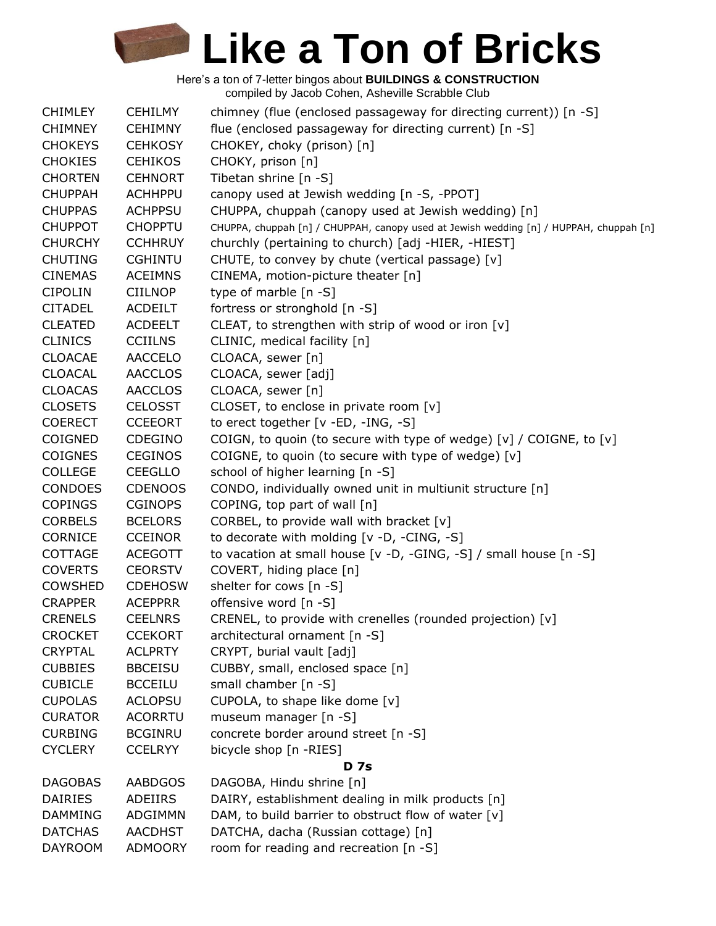| <b>CHIMLEY</b> | <b>CEHILMY</b> | chimney (flue (enclosed passageway for directing current)) [n -S]                      |
|----------------|----------------|----------------------------------------------------------------------------------------|
| <b>CHIMNEY</b> | <b>CEHIMNY</b> | flue (enclosed passageway for directing current) [n -S]                                |
| <b>CHOKEYS</b> | <b>CEHKOSY</b> | CHOKEY, choky (prison) [n]                                                             |
| <b>CHOKIES</b> | <b>CEHIKOS</b> | CHOKY, prison [n]                                                                      |
| <b>CHORTEN</b> | <b>CEHNORT</b> | Tibetan shrine [n -S]                                                                  |
| <b>CHUPPAH</b> | <b>ACHHPPU</b> | canopy used at Jewish wedding [n -S, -PPOT]                                            |
| <b>CHUPPAS</b> | <b>ACHPPSU</b> | CHUPPA, chuppah (canopy used at Jewish wedding) [n]                                    |
| <b>CHUPPOT</b> | <b>CHOPPTU</b> | CHUPPA, chuppah [n] / CHUPPAH, canopy used at Jewish wedding [n] / HUPPAH, chuppah [n] |
| <b>CHURCHY</b> | <b>CCHHRUY</b> | churchly (pertaining to church) [adj -HIER, -HIEST]                                    |
| <b>CHUTING</b> | <b>CGHINTU</b> | CHUTE, to convey by chute (vertical passage) [v]                                       |
| <b>CINEMAS</b> | <b>ACEIMNS</b> | CINEMA, motion-picture theater [n]                                                     |
| <b>CIPOLIN</b> | <b>CIILNOP</b> | type of marble [n -S]                                                                  |
| <b>CITADEL</b> | <b>ACDEILT</b> | fortress or stronghold [n -S]                                                          |
| <b>CLEATED</b> | <b>ACDEELT</b> | CLEAT, to strengthen with strip of wood or iron [v]                                    |
| <b>CLINICS</b> | <b>CCIILNS</b> | CLINIC, medical facility [n]                                                           |
| <b>CLOACAE</b> | <b>AACCELO</b> | CLOACA, sewer [n]                                                                      |
| <b>CLOACAL</b> | <b>AACCLOS</b> | CLOACA, sewer [adj]                                                                    |
| <b>CLOACAS</b> | <b>AACCLOS</b> | CLOACA, sewer [n]                                                                      |
| <b>CLOSETS</b> | <b>CELOSST</b> | CLOSET, to enclose in private room [v]                                                 |
| <b>COERECT</b> | <b>CCEEORT</b> | to erect together [v -ED, -ING, -S]                                                    |
| COIGNED        | CDEGINO        |                                                                                        |
|                |                | COIGN, to quoin (to secure with type of wedge) [v] / COIGNE, to [v]                    |
| <b>COIGNES</b> | <b>CEGINOS</b> | COIGNE, to quoin (to secure with type of wedge) [v]                                    |
| <b>COLLEGE</b> | <b>CEEGLLO</b> | school of higher learning [n -S]                                                       |
| CONDOES        | <b>CDENOOS</b> | CONDO, individually owned unit in multiunit structure [n]                              |
| <b>COPINGS</b> | <b>CGINOPS</b> | COPING, top part of wall [n]                                                           |
| <b>CORBELS</b> | <b>BCELORS</b> | CORBEL, to provide wall with bracket [v]                                               |
| <b>CORNICE</b> | <b>CCEINOR</b> | to decorate with molding [v -D, -CING, -S]                                             |
| <b>COTTAGE</b> | <b>ACEGOTT</b> | to vacation at small house [v -D, -GING, -S] / small house [n -S]                      |
| <b>COVERTS</b> | <b>CEORSTV</b> | COVERT, hiding place [n]                                                               |
| <b>COWSHED</b> | <b>CDEHOSW</b> | shelter for cows [n -S]                                                                |
| <b>CRAPPER</b> | <b>ACEPPRR</b> | offensive word [n -S]                                                                  |
| <b>CRENELS</b> | <b>CEELNRS</b> | CRENEL, to provide with crenelles (rounded projection) [v]                             |
| <b>CROCKET</b> | <b>CCEKORT</b> | architectural ornament [n -S]                                                          |
| <b>CRYPTAL</b> | <b>ACLPRTY</b> | CRYPT, burial vault [adj]                                                              |
| <b>CUBBIES</b> | <b>BBCEISU</b> | CUBBY, small, enclosed space [n]                                                       |
| <b>CUBICLE</b> | <b>BCCEILU</b> | small chamber [n -S]                                                                   |
| <b>CUPOLAS</b> | <b>ACLOPSU</b> | CUPOLA, to shape like dome [v]                                                         |
| <b>CURATOR</b> | <b>ACORRTU</b> | museum manager [n -S]                                                                  |
| <b>CURBING</b> | <b>BCGINRU</b> | concrete border around street [n -S]                                                   |
| <b>CYCLERY</b> | <b>CCELRYY</b> | bicycle shop [n -RIES]                                                                 |
|                |                | <b>D</b> 7s                                                                            |
| <b>DAGOBAS</b> | <b>AABDGOS</b> | DAGOBA, Hindu shrine [n]                                                               |
| <b>DAIRIES</b> | ADEIIRS        | DAIRY, establishment dealing in milk products [n]                                      |
| <b>DAMMING</b> | ADGIMMN        | DAM, to build barrier to obstruct flow of water [v]                                    |
| <b>DATCHAS</b> | <b>AACDHST</b> | DATCHA, dacha (Russian cottage) [n]                                                    |
| <b>DAYROOM</b> | <b>ADMOORY</b> | room for reading and recreation [n -S]                                                 |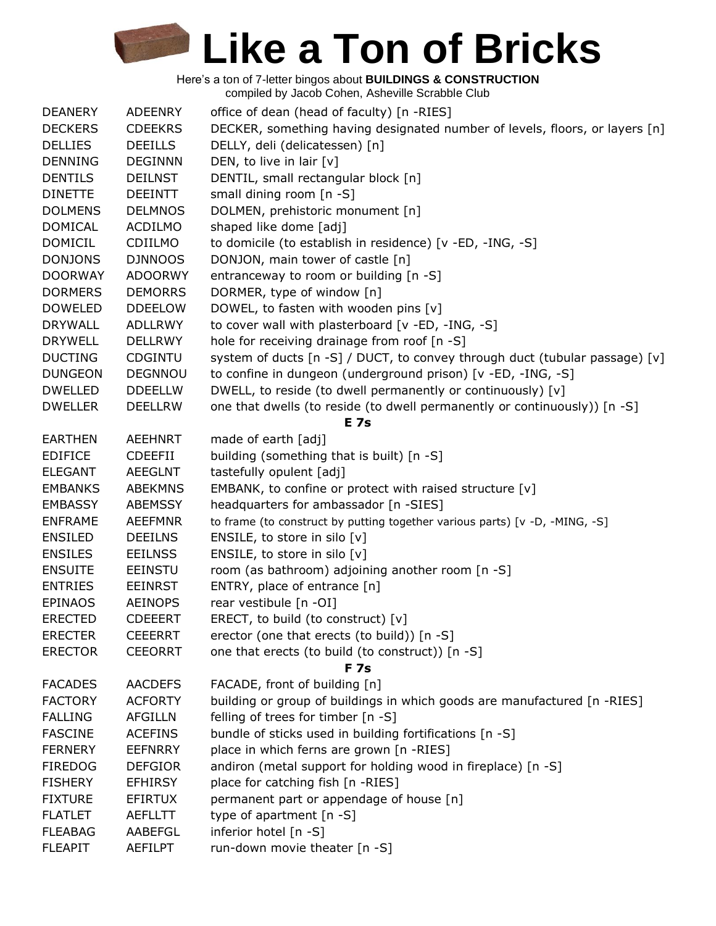Here's a ton of 7-letter bingos about **BUILDINGS & CONSTRUCTION** compiled by Jacob Cohen, Asheville Scrabble Club

| <b>DEANERY</b> | <b>ADEENRY</b> | office of dean (head of faculty) [n -RIES]                                  |
|----------------|----------------|-----------------------------------------------------------------------------|
| <b>DECKERS</b> | <b>CDEEKRS</b> | DECKER, something having designated number of levels, floors, or layers [n] |
| <b>DELLIES</b> | <b>DEEILLS</b> | DELLY, deli (delicatessen) [n]                                              |
| <b>DENNING</b> | <b>DEGINNN</b> | DEN, to live in lair [v]                                                    |
| <b>DENTILS</b> | <b>DEILNST</b> | DENTIL, small rectangular block [n]                                         |
| <b>DINETTE</b> | <b>DEEINTT</b> | small dining room $[n - S]$                                                 |
| <b>DOLMENS</b> | <b>DELMNOS</b> | DOLMEN, prehistoric monument [n]                                            |
| <b>DOMICAL</b> | <b>ACDILMO</b> | shaped like dome [adj]                                                      |
| <b>DOMICIL</b> | CDIILMO        | to domicile (to establish in residence) [v -ED, -ING, -S]                   |
| <b>DONJONS</b> | <b>DJNNOOS</b> | DONJON, main tower of castle [n]                                            |
| <b>DOORWAY</b> | <b>ADOORWY</b> | entranceway to room or building [n -S]                                      |
| <b>DORMERS</b> | <b>DEMORRS</b> | DORMER, type of window [n]                                                  |
| <b>DOWELED</b> | <b>DDEELOW</b> | DOWEL, to fasten with wooden pins [v]                                       |
| <b>DRYWALL</b> | <b>ADLLRWY</b> | to cover wall with plasterboard [v -ED, -ING, -S]                           |
| <b>DRYWELL</b> | <b>DELLRWY</b> | hole for receiving drainage from roof [n -S]                                |
| <b>DUCTING</b> | <b>CDGINTU</b> | system of ducts [n -S] / DUCT, to convey through duct (tubular passage) [v] |
| <b>DUNGEON</b> | <b>DEGNNOU</b> | to confine in dungeon (underground prison) [v -ED, -ING, -S]                |
| <b>DWELLED</b> | <b>DDEELLW</b> | DWELL, to reside (to dwell permanently or continuously) [v]                 |
| <b>DWELLER</b> | <b>DEELLRW</b> | one that dwells (to reside (to dwell permanently or continuously)) [n -S]   |
|                |                | <b>E</b> 7s                                                                 |
| <b>EARTHEN</b> | <b>AEEHNRT</b> | made of earth [adj]                                                         |
| <b>EDIFICE</b> | <b>CDEEFII</b> | building (something that is built) [n -S]                                   |
| <b>ELEGANT</b> | <b>AEEGLNT</b> | tastefully opulent [adj]                                                    |
| <b>EMBANKS</b> | <b>ABEKMNS</b> | EMBANK, to confine or protect with raised structure [v]                     |
| <b>EMBASSY</b> | <b>ABEMSSY</b> | headquarters for ambassador [n -SIES]                                       |
| <b>ENFRAME</b> | <b>AEEFMNR</b> | to frame (to construct by putting together various parts) [v -D, -MING, -S] |
| <b>ENSILED</b> | <b>DEEILNS</b> | ENSILE, to store in silo [v]                                                |
| <b>ENSILES</b> | <b>EEILNSS</b> | ENSILE, to store in silo [v]                                                |
| <b>ENSUITE</b> | <b>EEINSTU</b> | room (as bathroom) adjoining another room [n -S]                            |
| <b>ENTRIES</b> | <b>EEINRST</b> | ENTRY, place of entrance [n]                                                |
| <b>EPINAOS</b> | <b>AEINOPS</b> | rear vestibule [n -OI]                                                      |
| <b>ERECTED</b> | <b>CDEEERT</b> | ERECT, to build (to construct) [v]                                          |
| <b>ERECTER</b> | <b>CEEERRT</b> | erector (one that erects (to build)) [n -S]                                 |
| <b>ERECTOR</b> | <b>CEEORRT</b> | one that erects (to build (to construct)) [n -S]                            |
|                |                | <b>F7s</b>                                                                  |
| <b>FACADES</b> | <b>AACDEFS</b> | FACADE, front of building [n]                                               |
| <b>FACTORY</b> | <b>ACFORTY</b> | building or group of buildings in which goods are manufactured [n -RIES]    |
| <b>FALLING</b> | <b>AFGILLN</b> | felling of trees for timber [n -S]                                          |
| <b>FASCINE</b> | <b>ACEFINS</b> | bundle of sticks used in building fortifications [n -S]                     |
| <b>FERNERY</b> | <b>EEFNRRY</b> | place in which ferns are grown [n -RIES]                                    |
| <b>FIREDOG</b> | <b>DEFGIOR</b> | andiron (metal support for holding wood in fireplace) [n -S]                |
| <b>FISHERY</b> | <b>EFHIRSY</b> | place for catching fish [n -RIES]                                           |
| <b>FIXTURE</b> | <b>EFIRTUX</b> |                                                                             |
|                |                | permanent part or appendage of house [n]                                    |
| <b>FLATLET</b> | <b>AEFLLTT</b> | type of apartment [n -S]                                                    |
| <b>FLEABAG</b> | AABEFGL        | inferior hotel [n -S]                                                       |
| <b>FLEAPIT</b> | AEFILPT        | run-down movie theater [n -S]                                               |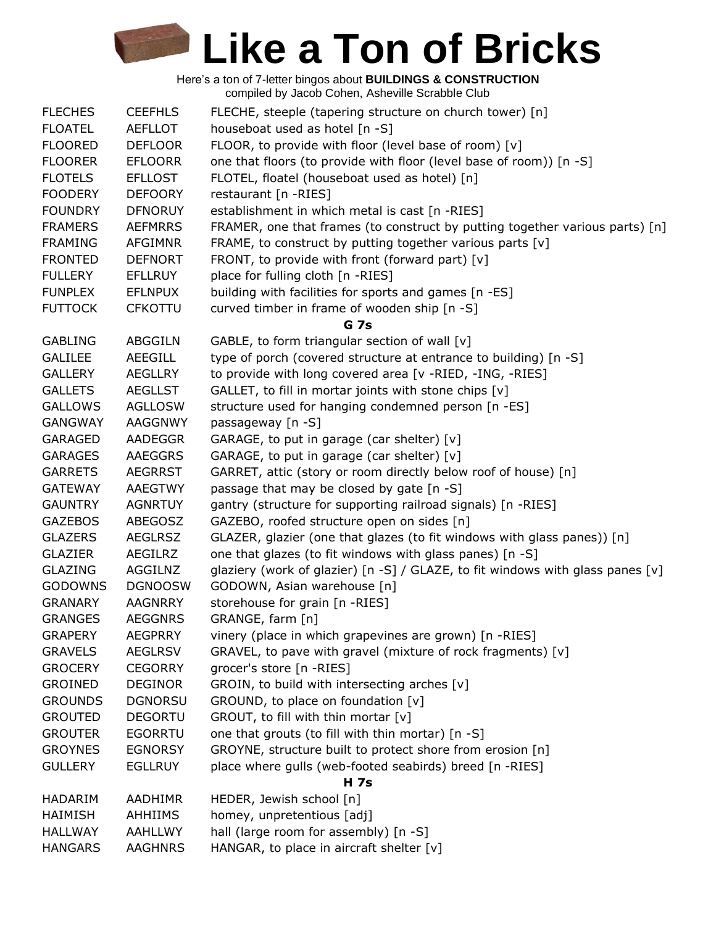| <b>FLECHES</b> | <b>CEEFHLS</b> | FLECHE, steeple (tapering structure on church tower) [n]                       |
|----------------|----------------|--------------------------------------------------------------------------------|
| <b>FLOATEL</b> | AEFLLOT        | houseboat used as hotel [n -S]                                                 |
| <b>FLOORED</b> | <b>DEFLOOR</b> | FLOOR, to provide with floor (level base of room) [v]                          |
| <b>FLOORER</b> | <b>EFLOORR</b> | one that floors (to provide with floor (level base of room)) [n -S]            |
| <b>FLOTELS</b> | <b>EFLLOST</b> | FLOTEL, floatel (houseboat used as hotel) [n]                                  |
| <b>FOODERY</b> | <b>DEFOORY</b> | restaurant [n -RIES]                                                           |
| <b>FOUNDRY</b> | <b>DFNORUY</b> | establishment in which metal is cast [n -RIES]                                 |
| <b>FRAMERS</b> | <b>AEFMRRS</b> | FRAMER, one that frames (to construct by putting together various parts) [n]   |
| <b>FRAMING</b> | <b>AFGIMNR</b> | FRAME, to construct by putting together various parts [v]                      |
| <b>FRONTED</b> | <b>DEFNORT</b> | FRONT, to provide with front (forward part) [v]                                |
| <b>FULLERY</b> | EFLLRUY        | place for fulling cloth [n -RIES]                                              |
| <b>FUNPLEX</b> | <b>EFLNPUX</b> | building with facilities for sports and games [n -ES]                          |
| <b>FUTTOCK</b> | <b>CFKOTTU</b> | curved timber in frame of wooden ship [n -S]                                   |
|                |                | <b>G</b> 7s                                                                    |
| <b>GABLING</b> | <b>ABGGILN</b> | GABLE, to form triangular section of wall [v]                                  |
| <b>GALILEE</b> | AEEGILL        | type of porch (covered structure at entrance to building) [n -S]               |
| <b>GALLERY</b> | <b>AEGLLRY</b> | to provide with long covered area [v -RIED, -ING, -RIES]                       |
| <b>GALLETS</b> | <b>AEGLLST</b> | GALLET, to fill in mortar joints with stone chips [v]                          |
| <b>GALLOWS</b> | <b>AGLLOSW</b> | structure used for hanging condemned person [n -ES]                            |
| <b>GANGWAY</b> | <b>AAGGNWY</b> | passageway [n -S]                                                              |
| <b>GARAGED</b> | <b>AADEGGR</b> | GARAGE, to put in garage (car shelter) [v]                                     |
| <b>GARAGES</b> | AAEGGRS        | GARAGE, to put in garage (car shelter) [v]                                     |
| <b>GARRETS</b> | <b>AEGRRST</b> | GARRET, attic (story or room directly below roof of house) [n]                 |
| <b>GATEWAY</b> | <b>AAEGTWY</b> | passage that may be closed by gate [n -S]                                      |
| <b>GAUNTRY</b> | <b>AGNRTUY</b> | gantry (structure for supporting railroad signals) [n -RIES]                   |
| <b>GAZEBOS</b> | ABEGOSZ        | GAZEBO, roofed structure open on sides [n]                                     |
| <b>GLAZERS</b> | <b>AEGLRSZ</b> | GLAZER, glazier (one that glazes (to fit windows with glass panes)) [n]        |
| <b>GLAZIER</b> | AEGILRZ        | one that glazes (to fit windows with glass panes) [n -S]                       |
| <b>GLAZING</b> | AGGILNZ        | glaziery (work of glazier) [n -S] / GLAZE, to fit windows with glass panes [v] |
| <b>GODOWNS</b> | <b>DGNOOSW</b> | GODOWN, Asian warehouse [n]                                                    |
| <b>GRANARY</b> | <b>AAGNRRY</b> | storehouse for grain [n -RIES]                                                 |
| <b>GRANGES</b> | <b>AEGGNRS</b> | GRANGE, farm [n]                                                               |
| <b>GRAPERY</b> | <b>AEGPRRY</b> | vinery (place in which grapevines are grown) [n -RIES]                         |
| <b>GRAVELS</b> | <b>AEGLRSV</b> | GRAVEL, to pave with gravel (mixture of rock fragments) [v]                    |
| <b>GROCERY</b> | <b>CEGORRY</b> | grocer's store [n -RIES]                                                       |
| <b>GROINED</b> | <b>DEGINOR</b> | GROIN, to build with intersecting arches [v]                                   |
| <b>GROUNDS</b> | <b>DGNORSU</b> | GROUND, to place on foundation [v]                                             |
| <b>GROUTED</b> | <b>DEGORTU</b> | GROUT, to fill with thin mortar [v]                                            |
| <b>GROUTER</b> | <b>EGORRTU</b> | one that grouts (to fill with thin mortar) [n -S]                              |
| <b>GROYNES</b> | <b>EGNORSY</b> | GROYNE, structure built to protect shore from erosion [n]                      |
| <b>GULLERY</b> | <b>EGLLRUY</b> | place where gulls (web-footed seabirds) breed [n -RIES]                        |
|                |                | H 7s                                                                           |
| <b>HADARIM</b> | AADHIMR        | HEDER, Jewish school [n]                                                       |
| HAIMISH        | AHHIIMS        | homey, unpretentious [adj]                                                     |
| <b>HALLWAY</b> | AAHLLWY        | hall (large room for assembly) [n -S]                                          |
| <b>HANGARS</b> | <b>AAGHNRS</b> | HANGAR, to place in aircraft shelter [v]                                       |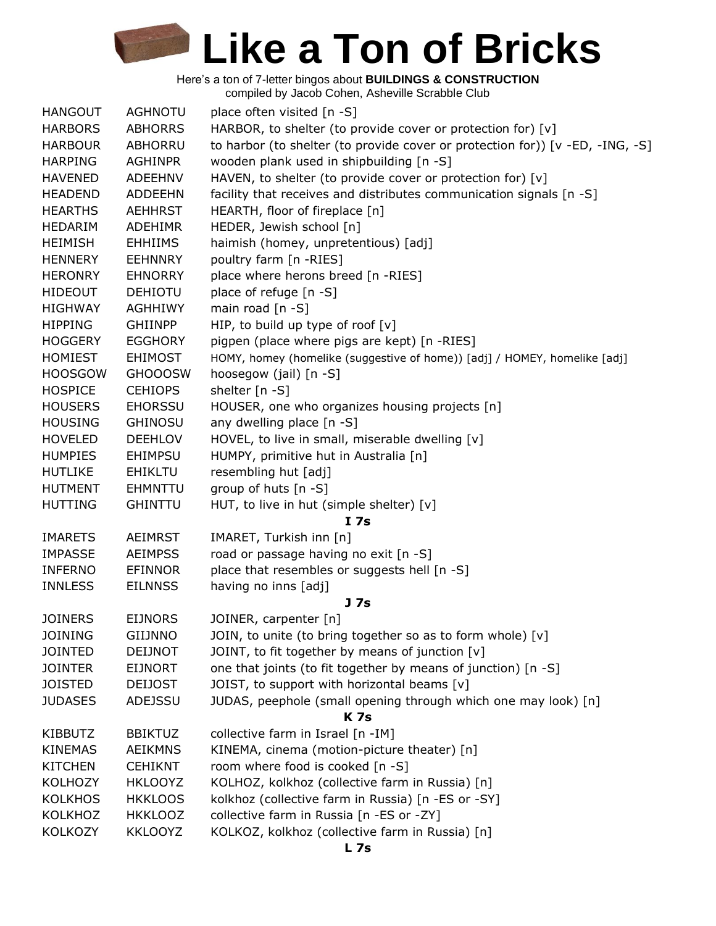| <b>HANGOUT</b> | <b>AGHNOTU</b> | place often visited [n -S]                                                    |
|----------------|----------------|-------------------------------------------------------------------------------|
| <b>HARBORS</b> | <b>ABHORRS</b> | HARBOR, to shelter (to provide cover or protection for) [v]                   |
| <b>HARBOUR</b> | ABHORRU        | to harbor (to shelter (to provide cover or protection for)) [v -ED, -ING, -S] |
| <b>HARPING</b> | <b>AGHINPR</b> | wooden plank used in shipbuilding [n -S]                                      |
| <b>HAVENED</b> | <b>ADEEHNV</b> | HAVEN, to shelter (to provide cover or protection for) [v]                    |
| <b>HEADEND</b> | <b>ADDEEHN</b> | facility that receives and distributes communication signals [n -S]           |
| <b>HEARTHS</b> | <b>AEHHRST</b> | HEARTH, floor of fireplace [n]                                                |
| <b>HEDARIM</b> | <b>ADEHIMR</b> | HEDER, Jewish school [n]                                                      |
| <b>HEIMISH</b> | <b>EHHIIMS</b> | haimish (homey, unpretentious) [adj]                                          |
| <b>HENNERY</b> | <b>EEHNNRY</b> | poultry farm [n -RIES]                                                        |
| <b>HERONRY</b> | <b>EHNORRY</b> | place where herons breed [n -RIES]                                            |
| <b>HIDEOUT</b> | <b>DEHIOTU</b> | place of refuge [n -S]                                                        |
| <b>HIGHWAY</b> | <b>AGHHIWY</b> | main road $[n - S]$                                                           |
| <b>HIPPING</b> | <b>GHIINPP</b> | HIP, to build up type of roof $[v]$                                           |
| <b>HOGGERY</b> | <b>EGGHORY</b> | pigpen (place where pigs are kept) [n -RIES]                                  |
| <b>HOMIEST</b> | <b>EHIMOST</b> | HOMY, homey (homelike (suggestive of home)) [adj] / HOMEY, homelike [adj]     |
| <b>HOOSGOW</b> | <b>GHOOOSW</b> | hoosegow (jail) [n -S]                                                        |
| <b>HOSPICE</b> | <b>CEHIOPS</b> | shelter [n -S]                                                                |
| <b>HOUSERS</b> | <b>EHORSSU</b> | HOUSER, one who organizes housing projects [n]                                |
| <b>HOUSING</b> | <b>GHINOSU</b> | any dwelling place [n -S]                                                     |
| <b>HOVELED</b> | <b>DEEHLOV</b> | HOVEL, to live in small, miserable dwelling [v]                               |
| <b>HUMPIES</b> | <b>EHIMPSU</b> | HUMPY, primitive hut in Australia [n]                                         |
| <b>HUTLIKE</b> | <b>EHIKLTU</b> | resembling hut [adj]                                                          |
| <b>HUTMENT</b> | <b>EHMNTTU</b> | group of huts [n -S]                                                          |
| <b>HUTTING</b> | <b>GHINTTU</b> | HUT, to live in hut (simple shelter) [v]                                      |
|                |                | I 7s                                                                          |
| <b>IMARETS</b> | <b>AEIMRST</b> | IMARET, Turkish inn [n]                                                       |
| <b>IMPASSE</b> | <b>AEIMPSS</b> | road or passage having no exit [n -S]                                         |
| <b>INFERNO</b> | <b>EFINNOR</b> | place that resembles or suggests hell [n -S]                                  |
| <b>INNLESS</b> | <b>EILNNSS</b> | having no inns [adj]                                                          |
|                |                | J <sub>7s</sub>                                                               |
| <b>JOINERS</b> | <b>EIJNORS</b> | JOINER, carpenter [n]                                                         |
| <b>JOINING</b> | <b>GIIJNNO</b> | JOIN, to unite (to bring together so as to form whole) [v]                    |
| <b>JOINTED</b> | <b>DEIJNOT</b> | JOINT, to fit together by means of junction [v]                               |
| <b>JOINTER</b> | <b>EIJNORT</b> | one that joints (to fit together by means of junction) [n -S]                 |
| <b>JOISTED</b> | <b>DEIJOST</b> | JOIST, to support with horizontal beams [v]                                   |
| <b>JUDASES</b> | <b>ADEJSSU</b> | JUDAS, peephole (small opening through which one may look) [n]                |
|                |                | <b>K</b> 7s                                                                   |
| <b>KIBBUTZ</b> | <b>BBIKTUZ</b> | collective farm in Israel [n -IM]                                             |
| <b>KINEMAS</b> | <b>AEIKMNS</b> | KINEMA, cinema (motion-picture theater) [n]                                   |
| <b>KITCHEN</b> | <b>CEHIKNT</b> | room where food is cooked [n -S]                                              |
| <b>KOLHOZY</b> | <b>HKLOOYZ</b> | KOLHOZ, kolkhoz (collective farm in Russia) [n]                               |
| <b>KOLKHOS</b> | <b>HKKLOOS</b> | kolkhoz (collective farm in Russia) [n -ES or -SY]                            |
| KOLKHOZ        | <b>HKKLOOZ</b> | collective farm in Russia [n -ES or -ZY]                                      |
| <b>KOLKOZY</b> | <b>KKLOOYZ</b> | KOLKOZ, kolkhoz (collective farm in Russia) [n]                               |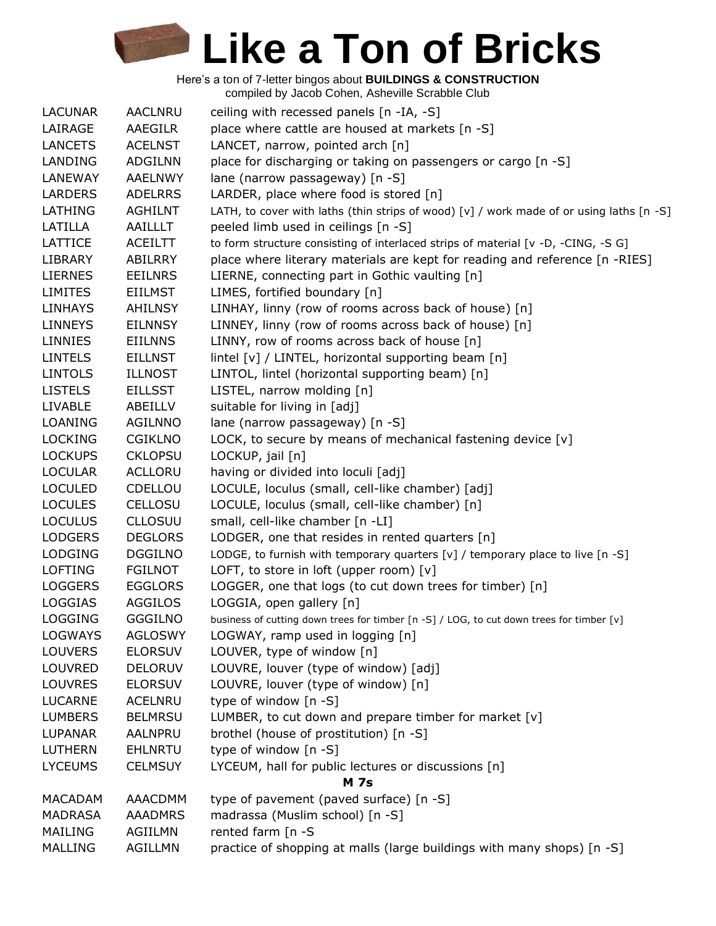| <b>LACUNAR</b> | <b>AACLNRU</b> | ceiling with recessed panels [n -IA, -S]                                                 |
|----------------|----------------|------------------------------------------------------------------------------------------|
| LAIRAGE        | AAEGILR        | place where cattle are housed at markets [n -S]                                          |
| <b>LANCETS</b> | <b>ACELNST</b> | LANCET, narrow, pointed arch [n]                                                         |
| LANDING        | <b>ADGILNN</b> | place for discharging or taking on passengers or cargo [n -S]                            |
| LANEWAY        | AAELNWY        | lane (narrow passageway) [n -S]                                                          |
| <b>LARDERS</b> | <b>ADELRRS</b> | LARDER, place where food is stored [n]                                                   |
| LATHING        | <b>AGHILNT</b> | LATH, to cover with laths (thin strips of wood) [v] / work made of or using laths [n -S] |
| LATILLA        | AAILLLT        | peeled limb used in ceilings [n -S]                                                      |
| LATTICE        | ACEILTT        | to form structure consisting of interlaced strips of material [v -D, -CING, -S G]        |
| <b>LIBRARY</b> | ABILRRY        | place where literary materials are kept for reading and reference [n -RIES]              |
| <b>LIERNES</b> | <b>EEILNRS</b> | LIERNE, connecting part in Gothic vaulting [n]                                           |
| <b>LIMITES</b> | EIILMST        | LIMES, fortified boundary [n]                                                            |
| <b>LINHAYS</b> | <b>AHILNSY</b> | LINHAY, linny (row of rooms across back of house) [n]                                    |
| <b>LINNEYS</b> | <b>EILNNSY</b> | LINNEY, linny (row of rooms across back of house) [n]                                    |
| <b>LINNIES</b> | <b>EIILNNS</b> | LINNY, row of rooms across back of house [n]                                             |
| <b>LINTELS</b> | <b>EILLNST</b> | lintel [v] / LINTEL, horizontal supporting beam [n]                                      |
| <b>LINTOLS</b> | <b>ILLNOST</b> | LINTOL, lintel (horizontal supporting beam) [n]                                          |
| <b>LISTELS</b> | <b>EILLSST</b> | LISTEL, narrow molding [n]                                                               |
| <b>LIVABLE</b> | ABEILLV        | suitable for living in [adj]                                                             |
| <b>LOANING</b> | AGILNNO        | lane (narrow passageway) [n -S]                                                          |
| <b>LOCKING</b> | <b>CGIKLNO</b> | LOCK, to secure by means of mechanical fastening device [v]                              |
| <b>LOCKUPS</b> | <b>CKLOPSU</b> | LOCKUP, jail [n]                                                                         |
| <b>LOCULAR</b> | <b>ACLLORU</b> | having or divided into loculi [adj]                                                      |
| <b>LOCULED</b> | CDELLOU        | LOCULE, loculus (small, cell-like chamber) [adj]                                         |
| <b>LOCULES</b> | CELLOSU        | LOCULE, loculus (small, cell-like chamber) [n]                                           |
| <b>LOCULUS</b> | <b>CLLOSUU</b> | small, cell-like chamber [n -LI]                                                         |
| <b>LODGERS</b> | <b>DEGLORS</b> | LODGER, one that resides in rented quarters [n]                                          |
| <b>LODGING</b> | <b>DGGILNO</b> | LODGE, to furnish with temporary quarters [v] / temporary place to live [n -S]           |
| <b>LOFTING</b> | <b>FGILNOT</b> | LOFT, to store in loft (upper room) $[v]$                                                |
| <b>LOGGERS</b> | <b>EGGLORS</b> | LOGGER, one that logs (to cut down trees for timber) [n]                                 |
| <b>LOGGIAS</b> | <b>AGGILOS</b> | LOGGIA, open gallery [n]                                                                 |
| <b>LOGGING</b> | <b>GGGILNO</b> | business of cutting down trees for timber [n -S] / LOG, to cut down trees for timber [v] |
| <b>LOGWAYS</b> | <b>AGLOSWY</b> | LOGWAY, ramp used in logging [n]                                                         |
| <b>LOUVERS</b> | <b>ELORSUV</b> | LOUVER, type of window [n]                                                               |
| LOUVRED        | <b>DELORUV</b> | LOUVRE, louver (type of window) [adj]                                                    |
| <b>LOUVRES</b> | <b>ELORSUV</b> | LOUVRE, louver (type of window) [n]                                                      |
| <b>LUCARNE</b> | <b>ACELNRU</b> | type of window [n -S]                                                                    |
| <b>LUMBERS</b> | <b>BELMRSU</b> | LUMBER, to cut down and prepare timber for market [v]                                    |
| LUPANAR        | AALNPRU        | brothel (house of prostitution) [n -S]                                                   |
| <b>LUTHERN</b> | <b>EHLNRTU</b> | type of window [n -S]                                                                    |
| <b>LYCEUMS</b> | <b>CELMSUY</b> | LYCEUM, hall for public lectures or discussions [n]                                      |
|                |                | <b>M</b> 7s                                                                              |
| <b>MACADAM</b> | AAACDMM        | type of pavement (paved surface) [n -S]                                                  |
| <b>MADRASA</b> | <b>AAADMRS</b> | madrassa (Muslim school) [n -S]                                                          |
| MAILING        | <b>AGIILMN</b> | rented farm [n -S                                                                        |
| <b>MALLING</b> | AGILLMN        | practice of shopping at malls (large buildings with many shops) [n -S]                   |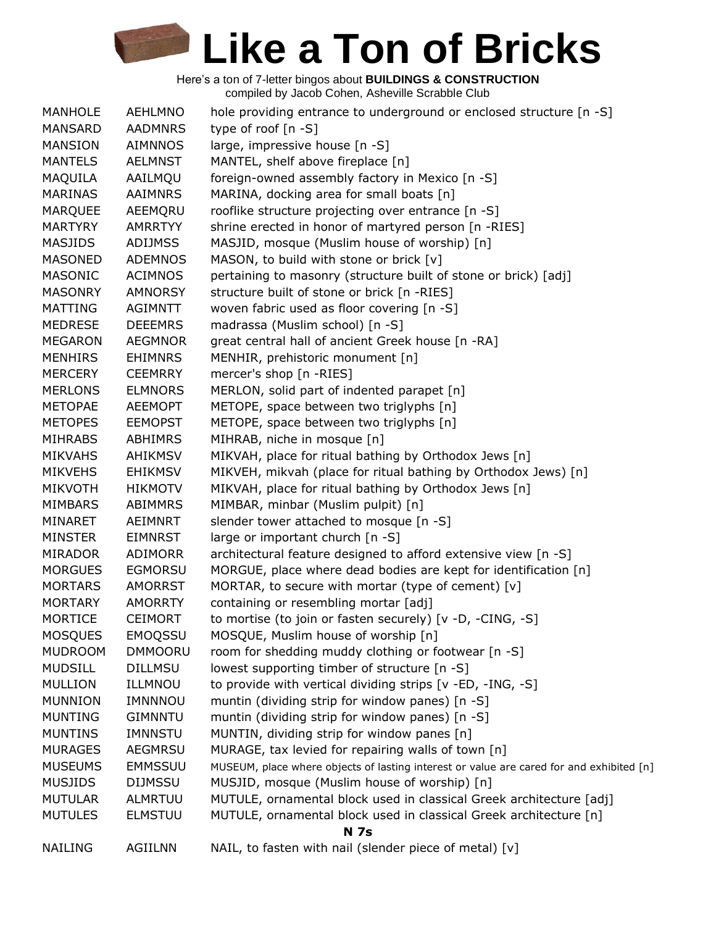| MANHOLE        | <b>AEHLMNO</b> | hole providing entrance to underground or enclosed structure [n -S]                      |
|----------------|----------------|------------------------------------------------------------------------------------------|
| <b>MANSARD</b> | <b>AADMNRS</b> | type of roof $[n - S]$                                                                   |
| <b>MANSION</b> | <b>AIMNNOS</b> | large, impressive house [n -S]                                                           |
| <b>MANTELS</b> | <b>AELMNST</b> | MANTEL, shelf above fireplace [n]                                                        |
| MAQUILA        | AAILMQU        | foreign-owned assembly factory in Mexico [n -S]                                          |
| <b>MARINAS</b> | <b>AAIMNRS</b> | MARINA, docking area for small boats [n]                                                 |
| <b>MARQUEE</b> | AEEMQRU        | rooflike structure projecting over entrance [n -S]                                       |
| MARTYRY        | <b>AMRRTYY</b> | shrine erected in honor of martyred person [n -RIES]                                     |
| MASJIDS        | <b>ADIJMSS</b> | MASJID, mosque (Muslim house of worship) [n]                                             |
| <b>MASONED</b> | <b>ADEMNOS</b> | MASON, to build with stone or brick [v]                                                  |
| <b>MASONIC</b> | <b>ACIMNOS</b> | pertaining to masonry (structure built of stone or brick) [adj]                          |
| <b>MASONRY</b> | <b>AMNORSY</b> | structure built of stone or brick [n -RIES]                                              |
| <b>MATTING</b> | <b>AGIMNTT</b> | woven fabric used as floor covering [n -S]                                               |
| <b>MEDRESE</b> | <b>DEEEMRS</b> | madrassa (Muslim school) [n -S]                                                          |
| <b>MEGARON</b> | <b>AEGMNOR</b> | great central hall of ancient Greek house [n -RA]                                        |
| <b>MENHIRS</b> | <b>EHIMNRS</b> | MENHIR, prehistoric monument [n]                                                         |
| <b>MERCERY</b> | <b>CEEMRRY</b> | mercer's shop [n -RIES]                                                                  |
| <b>MERLONS</b> | <b>ELMNORS</b> | MERLON, solid part of indented parapet [n]                                               |
| <b>METOPAE</b> | <b>AEEMOPT</b> | METOPE, space between two triglyphs [n]                                                  |
| <b>METOPES</b> | <b>EEMOPST</b> | METOPE, space between two triglyphs [n]                                                  |
| <b>MIHRABS</b> | <b>ABHIMRS</b> | MIHRAB, niche in mosque [n]                                                              |
| <b>MIKVAHS</b> | <b>AHIKMSV</b> | MIKVAH, place for ritual bathing by Orthodox Jews [n]                                    |
| <b>MIKVEHS</b> | <b>EHIKMSV</b> | MIKVEH, mikvah (place for ritual bathing by Orthodox Jews) [n]                           |
| <b>MIKVOTH</b> | <b>HIKMOTV</b> | MIKVAH, place for ritual bathing by Orthodox Jews [n]                                    |
| <b>MIMBARS</b> | <b>ABIMMRS</b> | MIMBAR, minbar (Muslim pulpit) [n]                                                       |
| MINARET        | AEIMNRT        | slender tower attached to mosque [n -S]                                                  |
| <b>MINSTER</b> | <b>EIMNRST</b> | large or important church [n -S]                                                         |
| <b>MIRADOR</b> | ADIMORR        | architectural feature designed to afford extensive view [n -S]                           |
| <b>MORGUES</b> | <b>EGMORSU</b> | MORGUE, place where dead bodies are kept for identification [n]                          |
| <b>MORTARS</b> | <b>AMORRST</b> | MORTAR, to secure with mortar (type of cement) [v]                                       |
| <b>MORTARY</b> | <b>AMORRTY</b> | containing or resembling mortar [adj]                                                    |
| <b>MORTICE</b> | <b>CEIMORT</b> | to mortise (to join or fasten securely) [v -D, -CING, -S]                                |
| <b>MOSQUES</b> | <b>EMOQSSU</b> | MOSQUE, Muslim house of worship [n]                                                      |
| <b>MUDROOM</b> | <b>DMMOORU</b> | room for shedding muddy clothing or footwear [n -S]                                      |
| <b>MUDSILL</b> | <b>DILLMSU</b> | lowest supporting timber of structure [n -S]                                             |
| <b>MULLION</b> | ILLMNOU        | to provide with vertical dividing strips [v -ED, -ING, -S]                               |
| <b>MUNNION</b> | IMNNNOU        | muntin (dividing strip for window panes) [n -S]                                          |
| <b>MUNTING</b> | <b>GIMNNTU</b> | muntin (dividing strip for window panes) [n -S]                                          |
| <b>MUNTINS</b> | IMNNSTU        | MUNTIN, dividing strip for window panes [n]                                              |
| <b>MURAGES</b> | <b>AEGMRSU</b> | MURAGE, tax levied for repairing walls of town [n]                                       |
| <b>MUSEUMS</b> | <b>EMMSSUU</b> | MUSEUM, place where objects of lasting interest or value are cared for and exhibited [n] |
| <b>MUSJIDS</b> | <b>DIJMSSU</b> | MUSJID, mosque (Muslim house of worship) [n]                                             |
| <b>MUTULAR</b> | ALMRTUU        | MUTULE, ornamental block used in classical Greek architecture [adj]                      |
| <b>MUTULES</b> | <b>ELMSTUU</b> | MUTULE, ornamental block used in classical Greek architecture [n]                        |
|                |                | <b>N</b> 7s                                                                              |
| <b>NAILING</b> | AGIILNN        | NAIL, to fasten with nail (slender piece of metal) [v]                                   |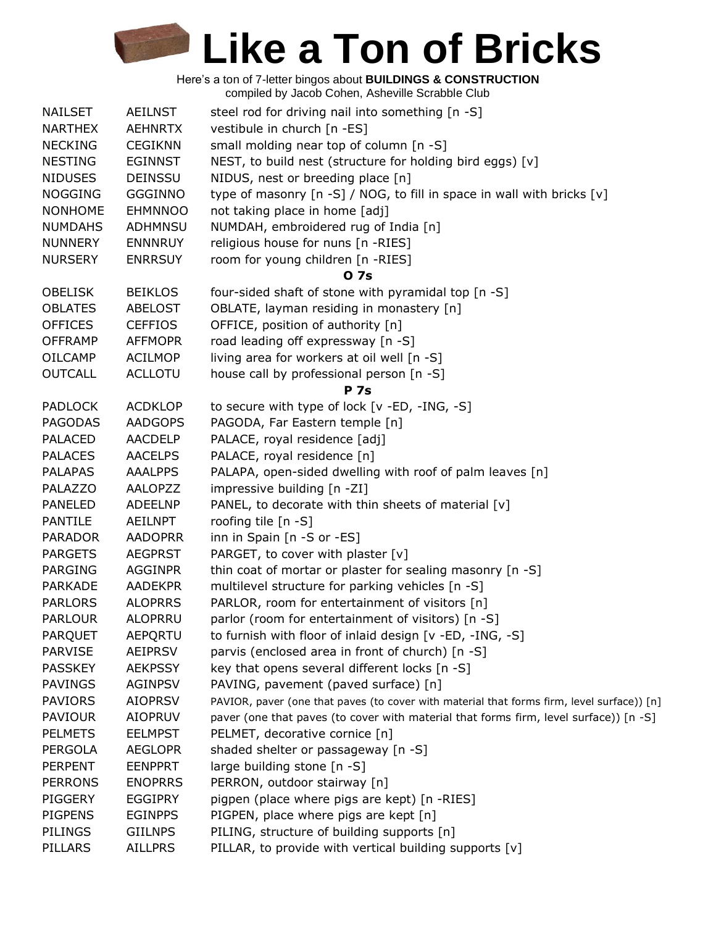Here's a ton of 7-letter bingos about **BUILDINGS & CONSTRUCTION** compiled by Jacob Cohen, Asheville Scrabble Club

| <b>NAILSET</b> | AEILNST        | steel rod for driving nail into something [n -S]                                           |
|----------------|----------------|--------------------------------------------------------------------------------------------|
| <b>NARTHEX</b> | <b>AEHNRTX</b> | vestibule in church [n -ES]                                                                |
| <b>NECKING</b> | <b>CEGIKNN</b> | small molding near top of column [n -S]                                                    |
| <b>NESTING</b> | <b>EGINNST</b> | NEST, to build nest (structure for holding bird eggs) [v]                                  |
| <b>NIDUSES</b> | <b>DEINSSU</b> | NIDUS, nest or breeding place [n]                                                          |
| <b>NOGGING</b> | <b>GGGINNO</b> | type of masonry [n -S] / NOG, to fill in space in wall with bricks [v]                     |
| <b>NONHOME</b> | <b>EHMNNOO</b> | not taking place in home [adj]                                                             |
| <b>NUMDAHS</b> | <b>ADHMNSU</b> | NUMDAH, embroidered rug of India [n]                                                       |
| <b>NUNNERY</b> | <b>ENNNRUY</b> | religious house for nuns [n -RIES]                                                         |
| <b>NURSERY</b> | <b>ENRRSUY</b> | room for young children [n -RIES]                                                          |
|                |                | 0 7s                                                                                       |
| <b>OBELISK</b> | <b>BEIKLOS</b> | four-sided shaft of stone with pyramidal top [n -S]                                        |
| <b>OBLATES</b> | <b>ABELOST</b> | OBLATE, layman residing in monastery [n]                                                   |
| <b>OFFICES</b> | <b>CEFFIOS</b> | OFFICE, position of authority [n]                                                          |
| <b>OFFRAMP</b> | <b>AFFMOPR</b> | road leading off expressway [n -S]                                                         |
|                |                | living area for workers at oil well [n -S]                                                 |
| <b>OILCAMP</b> | <b>ACILMOP</b> |                                                                                            |
| <b>OUTCALL</b> | <b>ACLLOTU</b> | house call by professional person [n -S]                                                   |
|                |                | <b>P</b> 7s                                                                                |
| <b>PADLOCK</b> | <b>ACDKLOP</b> | to secure with type of lock [v -ED, -ING, -S]                                              |
| <b>PAGODAS</b> | <b>AADGOPS</b> | PAGODA, Far Eastern temple [n]                                                             |
| <b>PALACED</b> | <b>AACDELP</b> | PALACE, royal residence [adj]                                                              |
| <b>PALACES</b> | <b>AACELPS</b> | PALACE, royal residence [n]                                                                |
| <b>PALAPAS</b> | <b>AAALPPS</b> | PALAPA, open-sided dwelling with roof of palm leaves [n]                                   |
| <b>PALAZZO</b> | <b>AALOPZZ</b> | impressive building [n -ZI]                                                                |
| <b>PANELED</b> | <b>ADEELNP</b> | PANEL, to decorate with thin sheets of material [v]                                        |
| <b>PANTILE</b> | AEILNPT        | roofing tile [n -S]                                                                        |
| <b>PARADOR</b> | <b>AADOPRR</b> | inn in Spain [n -S or -ES]                                                                 |
| <b>PARGETS</b> | <b>AEGPRST</b> | PARGET, to cover with plaster [v]                                                          |
| <b>PARGING</b> | <b>AGGINPR</b> | thin coat of mortar or plaster for sealing masonry [n -S]                                  |
| <b>PARKADE</b> | <b>AADEKPR</b> | multilevel structure for parking vehicles [n -S]                                           |
| <b>PARLORS</b> | <b>ALOPRRS</b> | PARLOR, room for entertainment of visitors [n]                                             |
| <b>PARLOUR</b> | ALOPRRU        | parlor (room for entertainment of visitors) [n -S]                                         |
| PARQUET        | AEPQRTU        | to furnish with floor of inlaid design [v -ED, -ING, -S]                                   |
| <b>PARVISE</b> | <b>AEIPRSV</b> | parvis (enclosed area in front of church) [n -S]                                           |
| <b>PASSKEY</b> | <b>AEKPSSY</b> | key that opens several different locks [n -S]                                              |
| <b>PAVINGS</b> | <b>AGINPSV</b> | PAVING, pavement (paved surface) [n]                                                       |
| <b>PAVIORS</b> | <b>AIOPRSV</b> | PAVIOR, paver (one that paves (to cover with material that forms firm, level surface)) [n] |
| <b>PAVIOUR</b> | <b>AIOPRUV</b> | paver (one that paves (to cover with material that forms firm, level surface)) [n -S]      |
| <b>PELMETS</b> | <b>EELMPST</b> | PELMET, decorative cornice [n]                                                             |
| <b>PERGOLA</b> | <b>AEGLOPR</b> | shaded shelter or passageway [n -S]                                                        |
| <b>PERPENT</b> | <b>EENPPRT</b> | large building stone [n -S]                                                                |
| <b>PERRONS</b> | <b>ENOPRRS</b> | PERRON, outdoor stairway [n]                                                               |
| PIGGERY        | <b>EGGIPRY</b> | pigpen (place where pigs are kept) [n -RIES]                                               |
| <b>PIGPENS</b> | <b>EGINPPS</b> | PIGPEN, place where pigs are kept [n]                                                      |
| <b>PILINGS</b> | <b>GIILNPS</b> | PILING, structure of building supports [n]                                                 |
| PILLARS        | <b>AILLPRS</b> | PILLAR, to provide with vertical building supports [v]                                     |
|                |                |                                                                                            |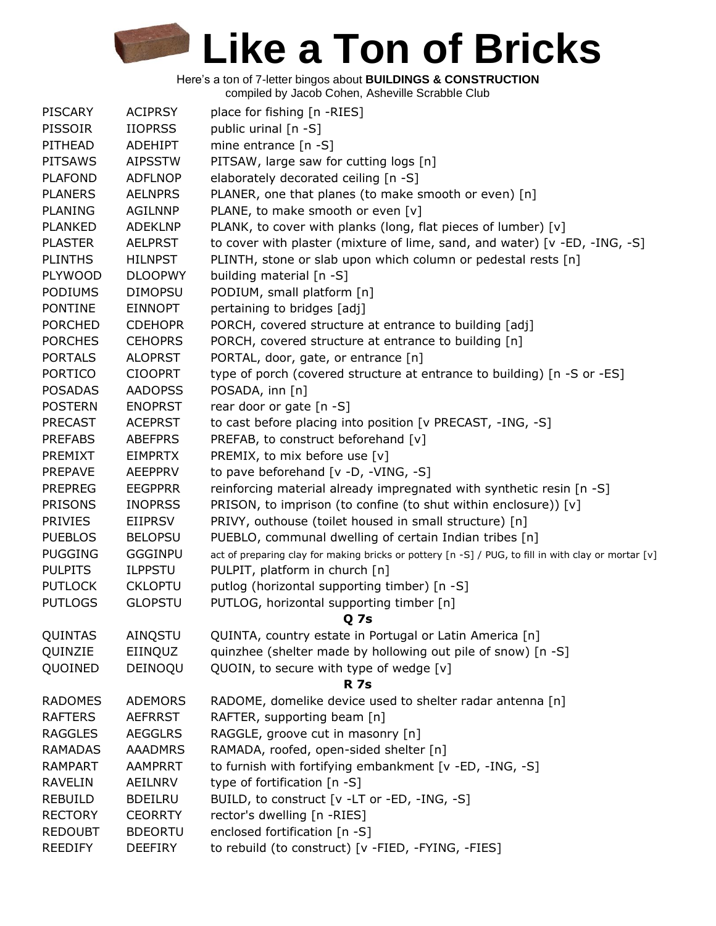Here's a ton of 7-letter bingos about **BUILDINGS & CONSTRUCTION**

compiled by Jacob Cohen, Asheville Scrabble Club

| <b>PISCARY</b> | <b>ACIPRSY</b> | place for fishing [n -RIES]                                                                         |
|----------------|----------------|-----------------------------------------------------------------------------------------------------|
| <b>PISSOIR</b> | <b>IIOPRSS</b> | public urinal [n -S]                                                                                |
| PITHEAD        | <b>ADEHIPT</b> | mine entrance [n -S]                                                                                |
| <b>PITSAWS</b> | <b>AIPSSTW</b> | PITSAW, large saw for cutting logs [n]                                                              |
| <b>PLAFOND</b> | <b>ADFLNOP</b> | elaborately decorated ceiling [n -S]                                                                |
| <b>PLANERS</b> | <b>AELNPRS</b> | PLANER, one that planes (to make smooth or even) [n]                                                |
| <b>PLANING</b> | <b>AGILNNP</b> | PLANE, to make smooth or even [v]                                                                   |
| <b>PLANKED</b> | <b>ADEKLNP</b> | PLANK, to cover with planks (long, flat pieces of lumber) [v]                                       |
| <b>PLASTER</b> | <b>AELPRST</b> | to cover with plaster (mixture of lime, sand, and water) [v -ED, -ING, -S]                          |
| <b>PLINTHS</b> | <b>HILNPST</b> | PLINTH, stone or slab upon which column or pedestal rests [n]                                       |
| <b>PLYWOOD</b> | <b>DLOOPWY</b> | building material [n -S]                                                                            |
| <b>PODIUMS</b> | <b>DIMOPSU</b> | PODIUM, small platform [n]                                                                          |
| <b>PONTINE</b> | <b>EINNOPT</b> | pertaining to bridges [adj]                                                                         |
| <b>PORCHED</b> | <b>CDEHOPR</b> | PORCH, covered structure at entrance to building [adj]                                              |
| <b>PORCHES</b> | <b>CEHOPRS</b> | PORCH, covered structure at entrance to building [n]                                                |
| <b>PORTALS</b> | <b>ALOPRST</b> | PORTAL, door, gate, or entrance [n]                                                                 |
| <b>PORTICO</b> | <b>CIOOPRT</b> | type of porch (covered structure at entrance to building) [n -S or -ES]                             |
| <b>POSADAS</b> | <b>AADOPSS</b> | POSADA, inn [n]                                                                                     |
| <b>POSTERN</b> | <b>ENOPRST</b> | rear door or gate [n -S]                                                                            |
| <b>PRECAST</b> | <b>ACEPRST</b> | to cast before placing into position [v PRECAST, -ING, -S]                                          |
| <b>PREFABS</b> | <b>ABEFPRS</b> | PREFAB, to construct beforehand [v]                                                                 |
| PREMIXT        | <b>EIMPRTX</b> | PREMIX, to mix before use [v]                                                                       |
| <b>PREPAVE</b> | <b>AEEPPRV</b> | to pave beforehand [v -D, -VING, -S]                                                                |
| <b>PREPREG</b> | <b>EEGPPRR</b> | reinforcing material already impregnated with synthetic resin [n -S]                                |
| <b>PRISONS</b> | <b>INOPRSS</b> | PRISON, to imprison (to confine (to shut within enclosure)) [v]                                     |
| <b>PRIVIES</b> | <b>EIIPRSV</b> | PRIVY, outhouse (toilet housed in small structure) [n]                                              |
| <b>PUEBLOS</b> | <b>BELOPSU</b> | PUEBLO, communal dwelling of certain Indian tribes [n]                                              |
| <b>PUGGING</b> | <b>GGGINPU</b> | act of preparing clay for making bricks or pottery [n -S] / PUG, to fill in with clay or mortar [v] |
| <b>PULPITS</b> | <b>ILPPSTU</b> | PULPIT, platform in church [n]                                                                      |
| <b>PUTLOCK</b> | <b>CKLOPTU</b> | putlog (horizontal supporting timber) [n -S]                                                        |
| <b>PUTLOGS</b> | <b>GLOPSTU</b> | PUTLOG, horizontal supporting timber [n]                                                            |
|                |                | Q <sub>7s</sub>                                                                                     |
| QUINTAS        | AINQSTU        | QUINTA, country estate in Portugal or Latin America [n]                                             |
| QUINZIE        | EIINQUZ        | quinzhee (shelter made by hollowing out pile of snow) [n -S]                                        |
| QUOINED        | DEINOQU        | QUOIN, to secure with type of wedge [v]                                                             |
|                |                | <b>R</b> 7s                                                                                         |
| <b>RADOMES</b> | <b>ADEMORS</b> | RADOME, domelike device used to shelter radar antenna [n]                                           |
| <b>RAFTERS</b> | <b>AEFRRST</b> | RAFTER, supporting beam [n]                                                                         |
| <b>RAGGLES</b> | <b>AEGGLRS</b> | RAGGLE, groove cut in masonry [n]                                                                   |
| <b>RAMADAS</b> | <b>AAADMRS</b> | RAMADA, roofed, open-sided shelter [n]                                                              |
| <b>RAMPART</b> | AAMPRRT        | to furnish with fortifying embankment [v -ED, -ING, -S]                                             |
| <b>RAVELIN</b> | AEILNRV        | type of fortification [n -S]                                                                        |
| <b>REBUILD</b> | <b>BDEILRU</b> | BUILD, to construct [v -LT or -ED, -ING, -S]                                                        |
| <b>RECTORY</b> | <b>CEORRTY</b> | rector's dwelling [n -RIES]                                                                         |
| <b>REDOUBT</b> | <b>BDEORTU</b> | enclosed fortification [n -S]                                                                       |
| <b>REEDIFY</b> | <b>DEEFIRY</b> | to rebuild (to construct) [v -FIED, -FYING, -FIES]                                                  |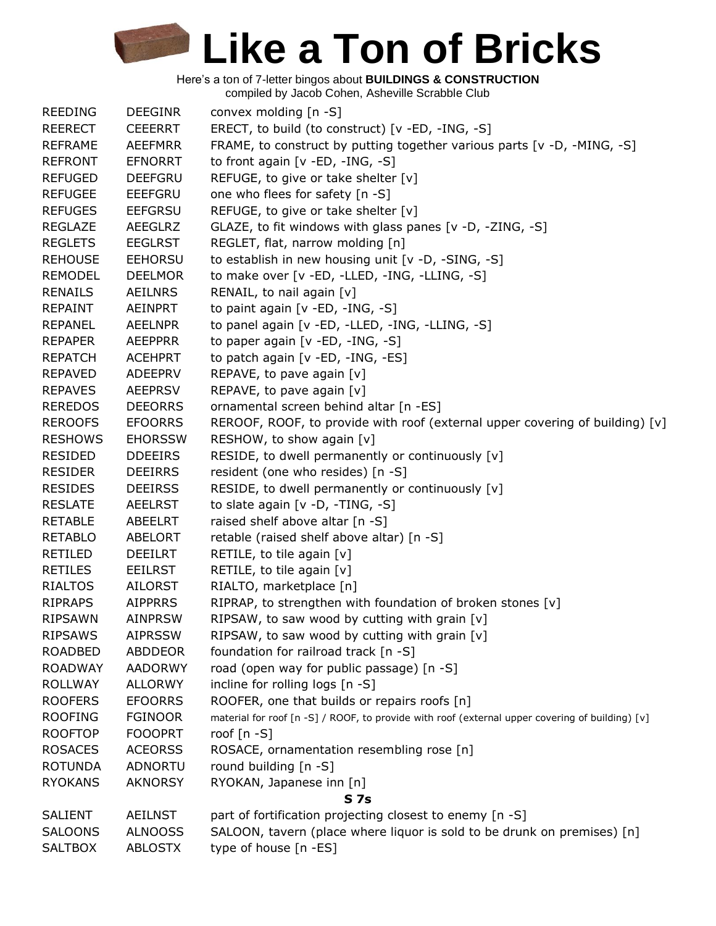| <b>REEDING</b> | <b>DEEGINR</b> | convex molding [n -S]                                                                           |
|----------------|----------------|-------------------------------------------------------------------------------------------------|
| <b>REERECT</b> | <b>CEEERRT</b> | ERECT, to build (to construct) [v -ED, -ING, -S]                                                |
| <b>REFRAME</b> | <b>AEEFMRR</b> | FRAME, to construct by putting together various parts $[v -D, -MING, -S]$                       |
| <b>REFRONT</b> | <b>EFNORRT</b> | to front again [v -ED, -ING, -S]                                                                |
| <b>REFUGED</b> | <b>DEEFGRU</b> | REFUGE, to give or take shelter [v]                                                             |
| <b>REFUGEE</b> | <b>EEEFGRU</b> | one who flees for safety [n -S]                                                                 |
| <b>REFUGES</b> | <b>EEFGRSU</b> | REFUGE, to give or take shelter [v]                                                             |
| <b>REGLAZE</b> | <b>AEEGLRZ</b> | GLAZE, to fit windows with glass panes [v -D, -ZING, -S]                                        |
| <b>REGLETS</b> | <b>EEGLRST</b> | REGLET, flat, narrow molding [n]                                                                |
| <b>REHOUSE</b> | <b>EEHORSU</b> | to establish in new housing unit [v -D, -SING, -S]                                              |
| <b>REMODEL</b> | <b>DEELMOR</b> | to make over [v -ED, -LLED, -ING, -LLING, -S]                                                   |
| <b>RENAILS</b> | <b>AEILNRS</b> | RENAIL, to nail again [v]                                                                       |
| <b>REPAINT</b> | AEINPRT        | to paint again [v -ED, -ING, -S]                                                                |
| <b>REPANEL</b> | <b>AEELNPR</b> | to panel again [v -ED, -LLED, -ING, -LLING, -S]                                                 |
| <b>REPAPER</b> | <b>AEEPPRR</b> | to paper again [v -ED, -ING, -S]                                                                |
| <b>REPATCH</b> | <b>ACEHPRT</b> | to patch again [v -ED, -ING, -ES]                                                               |
| <b>REPAVED</b> | <b>ADEEPRV</b> | REPAVE, to pave again [v]                                                                       |
| <b>REPAVES</b> | <b>AEEPRSV</b> | REPAVE, to pave again [v]                                                                       |
| <b>REREDOS</b> | <b>DEEORRS</b> | ornamental screen behind altar [n -ES]                                                          |
| <b>REROOFS</b> | <b>EFOORRS</b> | REROOF, ROOF, to provide with roof (external upper covering of building) [v]                    |
| <b>RESHOWS</b> | <b>EHORSSW</b> | RESHOW, to show again [v]                                                                       |
| <b>RESIDED</b> | <b>DDEEIRS</b> | RESIDE, to dwell permanently or continuously [v]                                                |
| <b>RESIDER</b> | <b>DEEIRRS</b> | resident (one who resides) [n -S]                                                               |
| <b>RESIDES</b> | <b>DEEIRSS</b> | RESIDE, to dwell permanently or continuously [v]                                                |
| <b>RESLATE</b> | AEELRST        | to slate again [v -D, -TING, -S]                                                                |
| <b>RETABLE</b> | <b>ABEELRT</b> | raised shelf above altar [n -S]                                                                 |
| <b>RETABLO</b> | <b>ABELORT</b> | retable (raised shelf above altar) [n -S]                                                       |
| RETILED        | <b>DEEILRT</b> | RETILE, to tile again [v]                                                                       |
| <b>RETILES</b> | <b>EEILRST</b> | RETILE, to tile again [v]                                                                       |
| <b>RIALTOS</b> | AILORST        | RIALTO, marketplace [n]                                                                         |
| <b>RIPRAPS</b> | <b>AIPPRRS</b> | RIPRAP, to strengthen with foundation of broken stones [v]                                      |
| <b>RIPSAWN</b> | <b>AINPRSW</b> | RIPSAW, to saw wood by cutting with grain [v]                                                   |
| <b>RIPSAWS</b> | <b>AIPRSSW</b> | RIPSAW, to saw wood by cutting with grain [v]                                                   |
| <b>ROADBED</b> | ABDDEOR        | foundation for railroad track [n -S]                                                            |
| <b>ROADWAY</b> | <b>AADORWY</b> | road (open way for public passage) [n -S]                                                       |
| <b>ROLLWAY</b> | <b>ALLORWY</b> | incline for rolling logs [n -S]                                                                 |
| <b>ROOFERS</b> | <b>EFOORRS</b> | ROOFER, one that builds or repairs roofs [n]                                                    |
| <b>ROOFING</b> | <b>FGINOOR</b> | material for roof [n -S] / ROOF, to provide with roof (external upper covering of building) [v] |
| <b>ROOFTOP</b> | <b>FOOOPRT</b> | roof $[n - S]$                                                                                  |
| <b>ROSACES</b> | <b>ACEORSS</b> | ROSACE, ornamentation resembling rose [n]                                                       |
| <b>ROTUNDA</b> | <b>ADNORTU</b> | round building [n -S]                                                                           |
| <b>RYOKANS</b> | <b>AKNORSY</b> | RYOKAN, Japanese inn [n]                                                                        |
|                |                | <b>S</b> 7s                                                                                     |
| <b>SALIENT</b> | <b>AEILNST</b> | part of fortification projecting closest to enemy [n -S]                                        |
| <b>SALOONS</b> | <b>ALNOOSS</b> | SALOON, tavern (place where liquor is sold to be drunk on premises) [n]                         |
| <b>SALTBOX</b> | <b>ABLOSTX</b> | type of house [n -ES]                                                                           |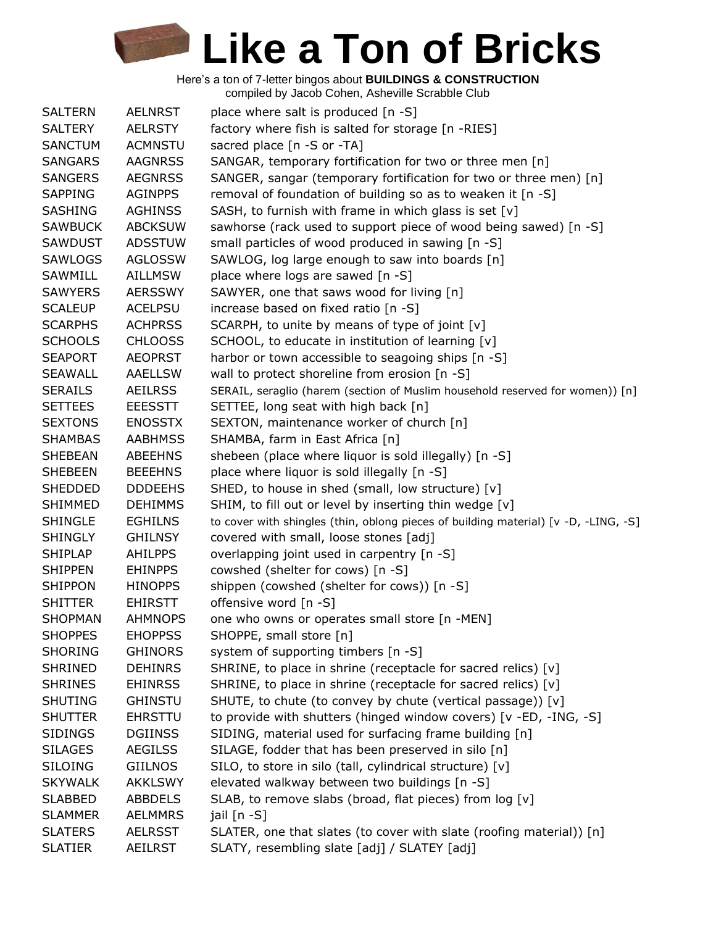| <b>SALTERN</b> | <b>AELNRST</b> | place where salt is produced [n -S]                                                 |
|----------------|----------------|-------------------------------------------------------------------------------------|
| <b>SALTERY</b> | <b>AELRSTY</b> | factory where fish is salted for storage [n -RIES]                                  |
| <b>SANCTUM</b> | <b>ACMNSTU</b> | sacred place [n -S or -TA]                                                          |
| <b>SANGARS</b> | <b>AAGNRSS</b> | SANGAR, temporary fortification for two or three men [n]                            |
| <b>SANGERS</b> | <b>AEGNRSS</b> | SANGER, sangar (temporary fortification for two or three men) [n]                   |
| <b>SAPPING</b> | <b>AGINPPS</b> | removal of foundation of building so as to weaken it [n -S]                         |
| <b>SASHING</b> | <b>AGHINSS</b> | SASH, to furnish with frame in which glass is set [v]                               |
| <b>SAWBUCK</b> | <b>ABCKSUW</b> | sawhorse (rack used to support piece of wood being sawed) [n -S]                    |
| <b>SAWDUST</b> | <b>ADSSTUW</b> | small particles of wood produced in sawing [n -S]                                   |
| <b>SAWLOGS</b> | <b>AGLOSSW</b> | SAWLOG, log large enough to saw into boards [n]                                     |
| SAWMILL        | <b>AILLMSW</b> | place where logs are sawed [n -S]                                                   |
| <b>SAWYERS</b> | <b>AERSSWY</b> | SAWYER, one that saws wood for living [n]                                           |
| <b>SCALEUP</b> | <b>ACELPSU</b> | increase based on fixed ratio [n -S]                                                |
| <b>SCARPHS</b> | <b>ACHPRSS</b> | SCARPH, to unite by means of type of joint [v]                                      |
| <b>SCHOOLS</b> | <b>CHLOOSS</b> | SCHOOL, to educate in institution of learning [v]                                   |
| <b>SEAPORT</b> | <b>AEOPRST</b> | harbor or town accessible to seagoing ships [n -S]                                  |
| <b>SEAWALL</b> | <b>AAELLSW</b> | wall to protect shoreline from erosion [n -S]                                       |
| <b>SERAILS</b> | <b>AEILRSS</b> | SERAIL, seraglio (harem (section of Muslim household reserved for women)) [n]       |
| <b>SETTEES</b> | <b>EEESSTT</b> | SETTEE, long seat with high back [n]                                                |
| <b>SEXTONS</b> | <b>ENOSSTX</b> | SEXTON, maintenance worker of church [n]                                            |
| <b>SHAMBAS</b> | <b>AABHMSS</b> | SHAMBA, farm in East Africa [n]                                                     |
| <b>SHEBEAN</b> | <b>ABEEHNS</b> | shebeen (place where liquor is sold illegally) [n -S]                               |
| <b>SHEBEEN</b> | <b>BEEEHNS</b> | place where liquor is sold illegally [n -S]                                         |
| <b>SHEDDED</b> | <b>DDDEEHS</b> | SHED, to house in shed (small, low structure) [v]                                   |
| <b>SHIMMED</b> | <b>DEHIMMS</b> | SHIM, to fill out or level by inserting thin wedge [v]                              |
| <b>SHINGLE</b> | <b>EGHILNS</b> | to cover with shingles (thin, oblong pieces of building material) [v -D, -LING, -S] |
| <b>SHINGLY</b> | <b>GHILNSY</b> | covered with small, loose stones [adj]                                              |
| <b>SHIPLAP</b> | <b>AHILPPS</b> | overlapping joint used in carpentry [n -S]                                          |
| <b>SHIPPEN</b> | <b>EHINPPS</b> | cowshed (shelter for cows) [n -S]                                                   |
| <b>SHIPPON</b> | <b>HINOPPS</b> | shippen (cowshed (shelter for cows)) [n -S]                                         |
| <b>SHITTER</b> | <b>EHIRSTT</b> | offensive word [n -S]                                                               |
| SHOPMAN        | <b>AHMNOPS</b> | one who owns or operates small store [n -MEN]                                       |
| <b>SHOPPES</b> | <b>EHOPPSS</b> | SHOPPE, small store [n]                                                             |
| <b>SHORING</b> | <b>GHINORS</b> | system of supporting timbers [n -S]                                                 |
| <b>SHRINED</b> | <b>DEHINRS</b> | SHRINE, to place in shrine (receptacle for sacred relics) [v]                       |
| <b>SHRINES</b> | <b>EHINRSS</b> | SHRINE, to place in shrine (receptacle for sacred relics) [v]                       |
| <b>SHUTING</b> | <b>GHINSTU</b> | SHUTE, to chute (to convey by chute (vertical passage)) [v]                         |
| <b>SHUTTER</b> | <b>EHRSTTU</b> | to provide with shutters (hinged window covers) [v -ED, -ING, -S]                   |
| <b>SIDINGS</b> | <b>DGIINSS</b> | SIDING, material used for surfacing frame building [n]                              |
| <b>SILAGES</b> | <b>AEGILSS</b> | SILAGE, fodder that has been preserved in silo [n]                                  |
| <b>SILOING</b> | <b>GIILNOS</b> | SILO, to store in silo (tall, cylindrical structure) [v]                            |
| <b>SKYWALK</b> | <b>AKKLSWY</b> | elevated walkway between two buildings [n -S]                                       |
| <b>SLABBED</b> | <b>ABBDELS</b> | SLAB, to remove slabs (broad, flat pieces) from log [v]                             |
| <b>SLAMMER</b> | <b>AELMMRS</b> | jail [n -S]                                                                         |
| <b>SLATERS</b> | <b>AELRSST</b> | SLATER, one that slates (to cover with slate (roofing material)) [n]                |
| <b>SLATIER</b> | <b>AEILRST</b> | SLATY, resembling slate [adj] / SLATEY [adj]                                        |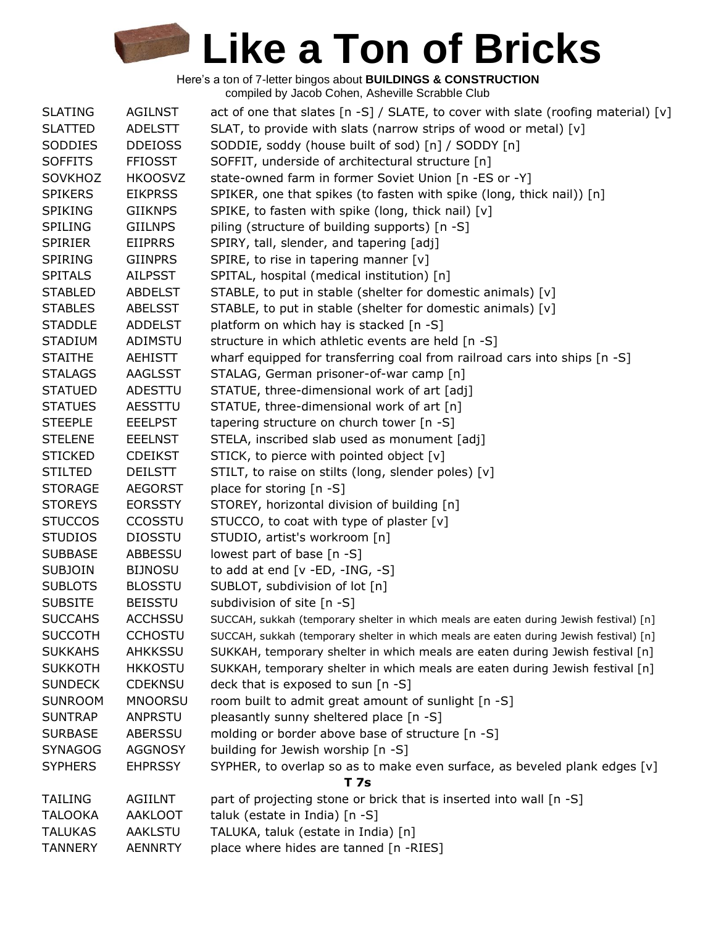| <b>SLATING</b> | <b>AGILNST</b> | act of one that slates $\lceil n - S \rceil$ / SLATE, to cover with slate (roofing material) $\lceil v \rceil$ |
|----------------|----------------|----------------------------------------------------------------------------------------------------------------|
| <b>SLATTED</b> | <b>ADELSTT</b> | SLAT, to provide with slats (narrow strips of wood or metal) $[v]$                                             |
| SODDIES        | <b>DDEIOSS</b> | SODDIE, soddy (house built of sod) [n] / SODDY [n]                                                             |
| <b>SOFFITS</b> | <b>FFIOSST</b> | SOFFIT, underside of architectural structure [n]                                                               |
| <b>SOVKHOZ</b> | <b>HKOOSVZ</b> | state-owned farm in former Soviet Union [n -ES or -Y]                                                          |
| <b>SPIKERS</b> | <b>EIKPRSS</b> | SPIKER, one that spikes (to fasten with spike (long, thick nail)) [n]                                          |
| <b>SPIKING</b> | <b>GIIKNPS</b> | SPIKE, to fasten with spike (long, thick nail) [v]                                                             |
| <b>SPILING</b> | <b>GIILNPS</b> | piling (structure of building supports) [n -S]                                                                 |
| <b>SPIRIER</b> | <b>EIIPRRS</b> | SPIRY, tall, slender, and tapering [adj]                                                                       |
| <b>SPIRING</b> | <b>GIINPRS</b> | SPIRE, to rise in tapering manner [v]                                                                          |
| <b>SPITALS</b> | <b>AILPSST</b> | SPITAL, hospital (medical institution) [n]                                                                     |
| <b>STABLED</b> | <b>ABDELST</b> | STABLE, to put in stable (shelter for domestic animals) [v]                                                    |
| <b>STABLES</b> | <b>ABELSST</b> | STABLE, to put in stable (shelter for domestic animals) [v]                                                    |
| <b>STADDLE</b> | <b>ADDELST</b> | platform on which hay is stacked [n -S]                                                                        |
| <b>STADIUM</b> | ADIMSTU        | structure in which athletic events are held [n -S]                                                             |
| <b>STAITHE</b> | AEHISTT        | wharf equipped for transferring coal from railroad cars into ships [n -S]                                      |
| <b>STALAGS</b> | AAGLSST        | STALAG, German prisoner-of-war camp [n]                                                                        |
| <b>STATUED</b> | ADESTTU        | STATUE, three-dimensional work of art [adj]                                                                    |
| <b>STATUES</b> | AESSTTU        | STATUE, three-dimensional work of art [n]                                                                      |
| <b>STEEPLE</b> | <b>EEELPST</b> | tapering structure on church tower [n -S]                                                                      |
| <b>STELENE</b> | <b>EEELNST</b> | STELA, inscribed slab used as monument [adj]                                                                   |
| <b>STICKED</b> | <b>CDEIKST</b> | STICK, to pierce with pointed object [v]                                                                       |
| <b>STILTED</b> | <b>DEILSTT</b> | STILT, to raise on stilts (long, slender poles) [v]                                                            |
| <b>STORAGE</b> | <b>AEGORST</b> | place for storing $[n -S]$                                                                                     |
| <b>STOREYS</b> | <b>EORSSTY</b> | STOREY, horizontal division of building [n]                                                                    |
| <b>STUCCOS</b> | <b>CCOSSTU</b> | STUCCO, to coat with type of plaster [v]                                                                       |
| <b>STUDIOS</b> | <b>DIOSSTU</b> | STUDIO, artist's workroom [n]                                                                                  |
| <b>SUBBASE</b> | ABBESSU        | lowest part of base [n -S]                                                                                     |
| <b>SUBJOIN</b> | <b>BIJNOSU</b> | to add at end $[v - ED, -ING, -S]$                                                                             |
| <b>SUBLOTS</b> | <b>BLOSSTU</b> | SUBLOT, subdivision of lot [n]                                                                                 |
| <b>SUBSITE</b> | <b>BEISSTU</b> | subdivision of site [n -S]                                                                                     |
| <b>SUCCAHS</b> | ACCHSSU        | SUCCAH, sukkah (temporary shelter in which meals are eaten during Jewish festival) [n]                         |
| <b>SUCCOTH</b> | <b>CCHOSTU</b> | SUCCAH, sukkah (temporary shelter in which meals are eaten during Jewish festival) [n]                         |
| <b>SUKKAHS</b> | AHKKSSU        | SUKKAH, temporary shelter in which meals are eaten during Jewish festival [n]                                  |
| <b>SUKKOTH</b> | <b>HKKOSTU</b> | SUKKAH, temporary shelter in which meals are eaten during Jewish festival [n]                                  |
| <b>SUNDECK</b> | <b>CDEKNSU</b> | deck that is exposed to sun [n -S]                                                                             |
| <b>SUNROOM</b> | <b>MNOORSU</b> | room built to admit great amount of sunlight [n -S]                                                            |
| <b>SUNTRAP</b> | ANPRSTU        | pleasantly sunny sheltered place [n -S]                                                                        |
| <b>SURBASE</b> | <b>ABERSSU</b> | molding or border above base of structure [n -S]                                                               |
| <b>SYNAGOG</b> | <b>AGGNOSY</b> | building for Jewish worship [n -S]                                                                             |
| <b>SYPHERS</b> | <b>EHPRSSY</b> | SYPHER, to overlap so as to make even surface, as beveled plank edges [v]                                      |
|                |                | <b>T7s</b>                                                                                                     |
| <b>TAILING</b> | <b>AGIILNT</b> | part of projecting stone or brick that is inserted into wall [n -S]                                            |
| <b>TALOOKA</b> | <b>AAKLOOT</b> | taluk (estate in India) [n -S]                                                                                 |
| <b>TALUKAS</b> | AAKLSTU        | TALUKA, taluk (estate in India) [n]                                                                            |
| <b>TANNERY</b> | <b>AENNRTY</b> | place where hides are tanned [n -RIES]                                                                         |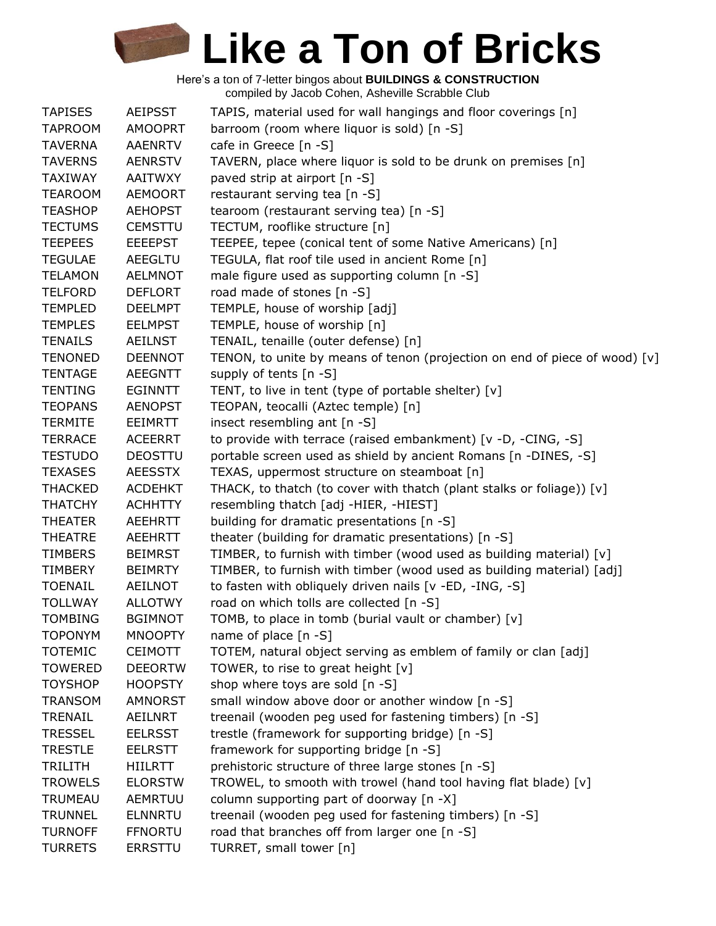| <b>TAPISES</b> | <b>AEIPSST</b> | TAPIS, material used for wall hangings and floor coverings [n]             |
|----------------|----------------|----------------------------------------------------------------------------|
| <b>TAPROOM</b> | <b>AMOOPRT</b> | barroom (room where liquor is sold) [n -S]                                 |
| <b>TAVERNA</b> | <b>AAENRTV</b> | cafe in Greece [n -S]                                                      |
| <b>TAVERNS</b> | <b>AENRSTV</b> | TAVERN, place where liquor is sold to be drunk on premises [n]             |
| <b>TAXIWAY</b> | <b>AAITWXY</b> | paved strip at airport [n -S]                                              |
| <b>TEAROOM</b> | <b>AEMOORT</b> | restaurant serving tea [n -S]                                              |
| <b>TEASHOP</b> | <b>AEHOPST</b> | tearoom (restaurant serving tea) [n -S]                                    |
| <b>TECTUMS</b> | <b>CEMSTTU</b> | TECTUM, rooflike structure [n]                                             |
| <b>TEEPEES</b> | <b>EEEEPST</b> | TEEPEE, tepee (conical tent of some Native Americans) [n]                  |
| <b>TEGULAE</b> | <b>AEEGLTU</b> | TEGULA, flat roof tile used in ancient Rome [n]                            |
| <b>TELAMON</b> | <b>AELMNOT</b> | male figure used as supporting column [n -S]                               |
| <b>TELFORD</b> | <b>DEFLORT</b> | road made of stones [n -S]                                                 |
| <b>TEMPLED</b> | <b>DEELMPT</b> | TEMPLE, house of worship [adj]                                             |
| <b>TEMPLES</b> | <b>EELMPST</b> | TEMPLE, house of worship [n]                                               |
| <b>TENAILS</b> | <b>AEILNST</b> | TENAIL, tenaille (outer defense) [n]                                       |
| <b>TENONED</b> | <b>DEENNOT</b> | TENON, to unite by means of tenon (projection on end of piece of wood) [v] |
| <b>TENTAGE</b> | <b>AEEGNTT</b> | supply of tents [n -S]                                                     |
| <b>TENTING</b> | <b>EGINNTT</b> | TENT, to live in tent (type of portable shelter) [v]                       |
| <b>TEOPANS</b> | <b>AENOPST</b> | TEOPAN, teocalli (Aztec temple) [n]                                        |
| <b>TERMITE</b> | EEIMRTT        | insect resembling ant [n -S]                                               |
| <b>TERRACE</b> | <b>ACEERRT</b> | to provide with terrace (raised embankment) [v -D, -CING, -S]              |
| <b>TESTUDO</b> | <b>DEOSTTU</b> | portable screen used as shield by ancient Romans [n -DINES, -S]            |
| <b>TEXASES</b> | <b>AEESSTX</b> | TEXAS, uppermost structure on steamboat [n]                                |
| <b>THACKED</b> | <b>ACDEHKT</b> | THACK, to thatch (to cover with thatch (plant stalks or foliage)) [v]      |
| <b>THATCHY</b> | <b>ACHHTTY</b> | resembling thatch [adj -HIER, -HIEST]                                      |
| <b>THEATER</b> | <b>AEEHRTT</b> | building for dramatic presentations [n -S]                                 |
| <b>THEATRE</b> | <b>AEEHRTT</b> | theater (building for dramatic presentations) [n -S]                       |
| <b>TIMBERS</b> | <b>BEIMRST</b> | TIMBER, to furnish with timber (wood used as building material) [v]        |
| TIMBERY        | <b>BEIMRTY</b> | TIMBER, to furnish with timber (wood used as building material) [adj]      |
| <b>TOENAIL</b> | <b>AEILNOT</b> | to fasten with obliquely driven nails [v -ED, -ING, -S]                    |
| <b>TOLLWAY</b> | <b>ALLOTWY</b> | road on which tolls are collected [n -S]                                   |
| <b>TOMBING</b> | <b>BGIMNOT</b> | TOMB, to place in tomb (burial vault or chamber) [v]                       |
| <b>TOPONYM</b> | <b>MNOOPTY</b> | name of place $[n - S]$                                                    |
| <b>TOTEMIC</b> | <b>CEIMOTT</b> | TOTEM, natural object serving as emblem of family or clan [adj]            |
| <b>TOWERED</b> | <b>DEEORTW</b> | TOWER, to rise to great height [v]                                         |
| <b>TOYSHOP</b> | <b>HOOPSTY</b> | shop where toys are sold [n -S]                                            |
| <b>TRANSOM</b> | <b>AMNORST</b> | small window above door or another window [n -S]                           |
| TRENAIL        | <b>AEILNRT</b> | treenail (wooden peg used for fastening timbers) [n -S]                    |
| <b>TRESSEL</b> | <b>EELRSST</b> | trestle (framework for supporting bridge) [n -S]                           |
| <b>TRESTLE</b> | <b>EELRSTT</b> | framework for supporting bridge [n -S]                                     |
| <b>TRILITH</b> | HIILRTT        | prehistoric structure of three large stones [n -S]                         |
| <b>TROWELS</b> | <b>ELORSTW</b> | TROWEL, to smooth with trowel (hand tool having flat blade) [v]            |
| TRUMEAU        | <b>AEMRTUU</b> | column supporting part of doorway [n -X]                                   |
| <b>TRUNNEL</b> | <b>ELNNRTU</b> | treenail (wooden peg used for fastening timbers) [n -S]                    |
| <b>TURNOFF</b> | <b>FFNORTU</b> | road that branches off from larger one [n -S]                              |
| <b>TURRETS</b> | <b>ERRSTTU</b> | TURRET, small tower [n]                                                    |
|                |                |                                                                            |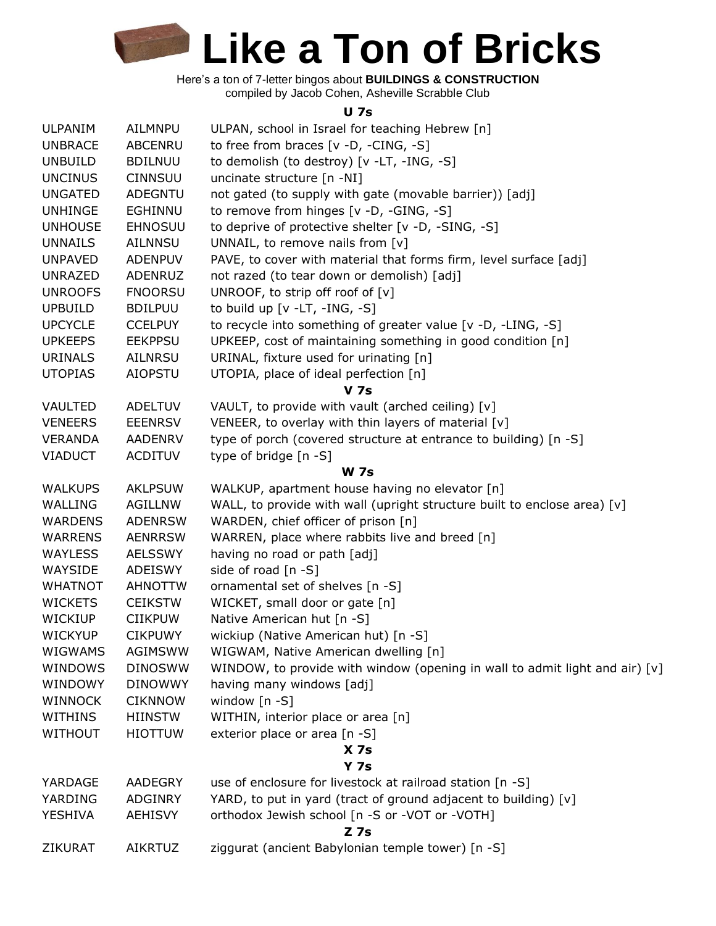Here's a ton of 7-letter bingos about **BUILDINGS & CONSTRUCTION** compiled by Jacob Cohen, Asheville Scrabble Club

#### **U 7s**

| <b>ULPANIM</b> | AILMNPU        | ULPAN, school in Israel for teaching Hebrew [n]                             |
|----------------|----------------|-----------------------------------------------------------------------------|
| <b>UNBRACE</b> | <b>ABCENRU</b> | to free from braces $[v -D, -CING, -S]$                                     |
| <b>UNBUILD</b> | <b>BDILNUU</b> | to demolish (to destroy) [v -LT, -ING, -S]                                  |
| <b>UNCINUS</b> | <b>CINNSUU</b> | uncinate structure [n -NI]                                                  |
| <b>UNGATED</b> | <b>ADEGNTU</b> | not gated (to supply with gate (movable barrier)) [adj]                     |
| <b>UNHINGE</b> | EGHINNU        | to remove from hinges [v -D, -GING, -S]                                     |
| <b>UNHOUSE</b> | <b>EHNOSUU</b> | to deprive of protective shelter [v -D, -SING, -S]                          |
| <b>UNNAILS</b> | AILNNSU        | UNNAIL, to remove nails from [v]                                            |
| <b>UNPAVED</b> | <b>ADENPUV</b> | PAVE, to cover with material that forms firm, level surface [adj]           |
| <b>UNRAZED</b> | <b>ADENRUZ</b> | not razed (to tear down or demolish) [adj]                                  |
| <b>UNROOFS</b> | <b>FNOORSU</b> | UNROOF, to strip off roof of $[v]$                                          |
| <b>UPBUILD</b> | <b>BDILPUU</b> | to build up $[v -LT, -ING, -S]$                                             |
| <b>UPCYCLE</b> | <b>CCELPUY</b> | to recycle into something of greater value [v -D, -LING, -S]                |
| <b>UPKEEPS</b> | <b>EEKPPSU</b> | UPKEEP, cost of maintaining something in good condition [n]                 |
| <b>URINALS</b> | <b>AILNRSU</b> | URINAL, fixture used for urinating [n]                                      |
| <b>UTOPIAS</b> | <b>AIOPSTU</b> | UTOPIA, place of ideal perfection [n]                                       |
|                |                | <b>V</b> 7s                                                                 |
| <b>VAULTED</b> | <b>ADELTUV</b> | VAULT, to provide with vault (arched ceiling) [v]                           |
| <b>VENEERS</b> | <b>EEENRSV</b> | VENEER, to overlay with thin layers of material [v]                         |
| <b>VERANDA</b> | <b>AADENRV</b> | type of porch (covered structure at entrance to building) [n -S]            |
| <b>VIADUCT</b> | <b>ACDITUV</b> | type of bridge [n -S]                                                       |
|                |                | <b>W</b> 7s                                                                 |
| <b>WALKUPS</b> | <b>AKLPSUW</b> | WALKUP, apartment house having no elevator [n]                              |
| WALLING        | AGILLNW        | WALL, to provide with wall (upright structure built to enclose area) [v]    |
| <b>WARDENS</b> | <b>ADENRSW</b> | WARDEN, chief officer of prison [n]                                         |
| <b>WARRENS</b> | <b>AENRRSW</b> | WARREN, place where rabbits live and breed [n]                              |
| <b>WAYLESS</b> | <b>AELSSWY</b> | having no road or path [adj]                                                |
| WAYSIDE        | <b>ADEISWY</b> | side of road [n -S]                                                         |
| <b>WHATNOT</b> | <b>AHNOTTW</b> | ornamental set of shelves [n -S]                                            |
| <b>WICKETS</b> | <b>CEIKSTW</b> | WICKET, small door or gate [n]                                              |
| <b>WICKIUP</b> | <b>CIIKPUW</b> | Native American hut [n -S]                                                  |
| <b>WICKYUP</b> | <b>CIKPUWY</b> | wickiup (Native American hut) [n -S]                                        |
| WIGWAMS        | AGIMSWW        | WIGWAM, Native American dwelling [n]                                        |
| <b>WINDOWS</b> | <b>DINOSWW</b> | WINDOW, to provide with window (opening in wall to admit light and air) [v] |
| WINDOWY        | <b>DINOWWY</b> | having many windows [adj]                                                   |
| <b>WINNOCK</b> | <b>CIKNNOW</b> | window $[n - S]$                                                            |
| <b>WITHINS</b> | <b>HIINSTW</b> | WITHIN, interior place or area [n]                                          |
| <b>WITHOUT</b> | <b>HIOTTUW</b> | exterior place or area [n -S]                                               |
|                |                | X 7s                                                                        |
|                |                | <b>Y 7s</b>                                                                 |
| YARDAGE        | AADEGRY        | use of enclosure for livestock at railroad station [n -S]                   |
| YARDING        | <b>ADGINRY</b> | YARD, to put in yard (tract of ground adjacent to building) [v]             |
| YESHIVA        | <b>AEHISVY</b> | orthodox Jewish school [n -S or -VOT or -VOTH]                              |
|                |                | $Z$ 7s                                                                      |
| ZIKURAT        | <b>AIKRTUZ</b> | ziggurat (ancient Babylonian temple tower) [n -S]                           |